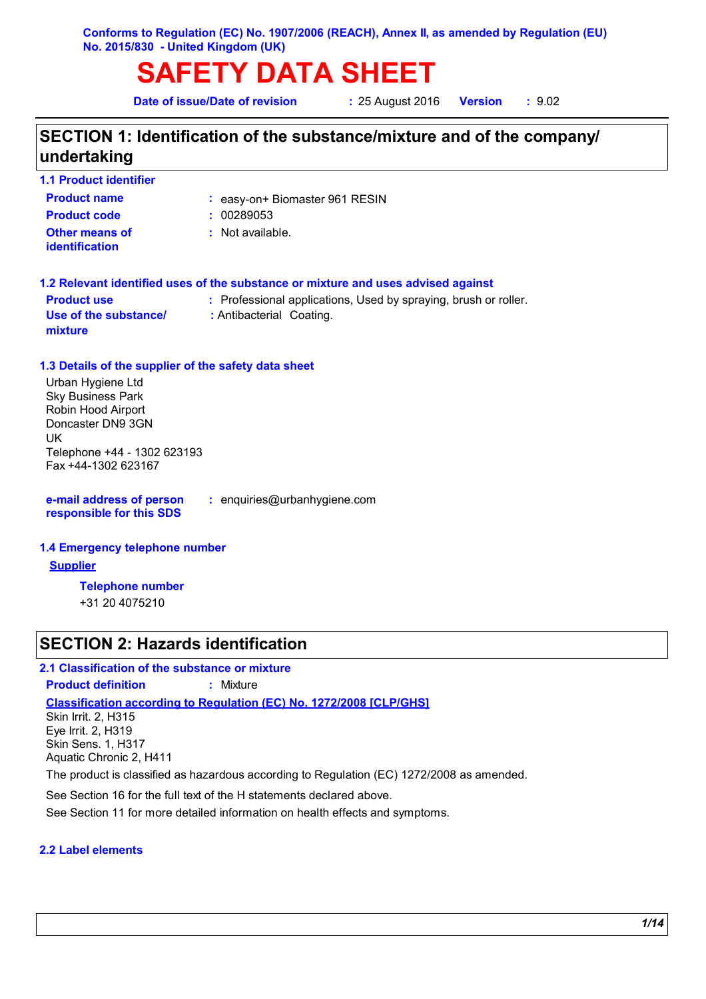# **SAFETY DATA SHEET**

**Date of issue/Date of revision :** 25 August 2016

**Version :** 9.02

## **SECTION 1: Identification of the substance/mixture and of the company/ undertaking**

| : easy-on+ Biomaster 961 RESIN<br>: 00289053                                      |
|-----------------------------------------------------------------------------------|
|                                                                                   |
|                                                                                   |
| $\therefore$ Not available.                                                       |
| 1.2 Relevant identified uses of the substance or mixture and uses advised against |
| : Professional applications, Used by spraying, brush or roller.                   |
| : Antibacterial Coating.                                                          |
|                                                                                   |

Sky Business Park Robin Hood Airport Doncaster DN9 3GN UK Telephone +44 - 1302 623193 Fax +44-1302 623167

**e-mail address of person responsible for this SDS**

**:** enquiries@urbanhygiene.com

#### **1.4 Emergency telephone number**

**Supplier**

**Telephone number**

+31 20 4075210

### **SECTION 2: Hazards identification**

#### **2.1 Classification of the substance or mixture**

**Product definition :** Mixture

**Classification according to Regulation (EC) No. 1272/2008 [CLP/GHS]**

Skin Irrit. 2, H315 Eye Irrit. 2, H319 Skin Sens. 1, H317 Aquatic Chronic 2, H411

The product is classified as hazardous according to Regulation (EC) 1272/2008 as amended.

See Section 16 for the full text of the H statements declared above.

See Section 11 for more detailed information on health effects and symptoms.

#### **2.2 Label elements**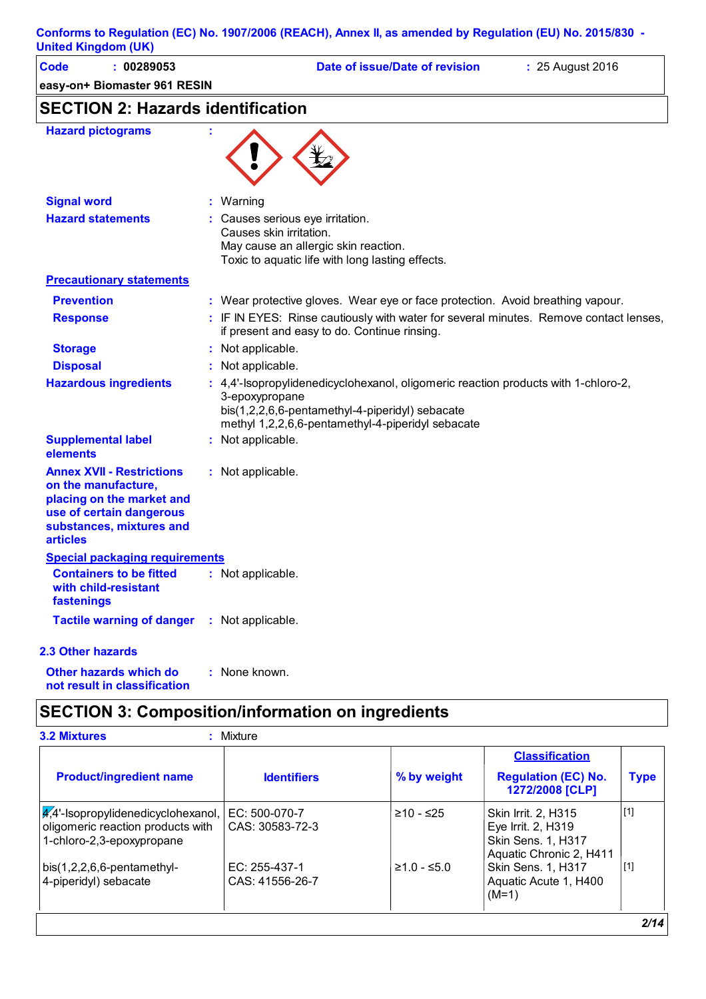| <b>Code</b><br>: 00289053                                                                                                                                       | Date of issue/Date of revision<br>: 25 August 2016                                                                                                                                                           |
|-----------------------------------------------------------------------------------------------------------------------------------------------------------------|--------------------------------------------------------------------------------------------------------------------------------------------------------------------------------------------------------------|
| easy-on+ Biomaster 961 RESIN                                                                                                                                    |                                                                                                                                                                                                              |
| <b>SECTION 2: Hazards identification</b>                                                                                                                        |                                                                                                                                                                                                              |
| <b>Hazard pictograms</b>                                                                                                                                        |                                                                                                                                                                                                              |
| <b>Signal word</b>                                                                                                                                              | Warning                                                                                                                                                                                                      |
| <b>Hazard statements</b>                                                                                                                                        | Causes serious eye irritation.<br>Causes skin irritation.<br>May cause an allergic skin reaction.                                                                                                            |
|                                                                                                                                                                 | Toxic to aquatic life with long lasting effects.                                                                                                                                                             |
| <b>Precautionary statements</b>                                                                                                                                 |                                                                                                                                                                                                              |
| <b>Prevention</b>                                                                                                                                               | : Wear protective gloves. Wear eye or face protection. Avoid breathing vapour.                                                                                                                               |
| <b>Response</b>                                                                                                                                                 | : IF IN EYES: Rinse cautiously with water for several minutes. Remove contact lenses,<br>if present and easy to do. Continue rinsing.                                                                        |
| <b>Storage</b>                                                                                                                                                  | : Not applicable.                                                                                                                                                                                            |
| <b>Disposal</b>                                                                                                                                                 | Not applicable.                                                                                                                                                                                              |
| <b>Hazardous ingredients</b>                                                                                                                                    | : 4,4'-Isopropylidenedicyclohexanol, oligomeric reaction products with 1-chloro-2,<br>3-epoxypropane<br>bis(1,2,2,6,6-pentamethyl-4-piperidyl) sebacate<br>methyl 1,2,2,6,6-pentamethyl-4-piperidyl sebacate |
| <b>Supplemental label</b><br>elements                                                                                                                           | : Not applicable.                                                                                                                                                                                            |
| <b>Annex XVII - Restrictions</b><br>on the manufacture,<br>placing on the market and<br>use of certain dangerous<br>substances, mixtures and<br><b>articles</b> | : Not applicable.                                                                                                                                                                                            |
| Special packaging requirements                                                                                                                                  |                                                                                                                                                                                                              |
| <b>Containers to be fitted</b><br>with child-resistant<br>fastenings                                                                                            | : Not applicable.                                                                                                                                                                                            |
| <b>Tactile warning of danger</b>                                                                                                                                | : Not applicable.                                                                                                                                                                                            |
| 2.3 Other hazards                                                                                                                                               |                                                                                                                                                                                                              |
|                                                                                                                                                                 |                                                                                                                                                                                                              |

**Other hazards which do : not result in classification** : None known.

## **SECTION 3: Composition/information on ingredients**

|                                                                                                                |                                  |               | <b>Classification</b>                                                                             |             |
|----------------------------------------------------------------------------------------------------------------|----------------------------------|---------------|---------------------------------------------------------------------------------------------------|-------------|
| <b>Product/ingredient name</b>                                                                                 | <b>Identifiers</b>               | % by weight   | <b>Regulation (EC) No.</b><br>1272/2008 [CLP]                                                     | <b>Type</b> |
| $\frac{4}{4}$ -Isopropylidenedicyclohexanol,<br>oligomeric reaction products with<br>1-chloro-2,3-epoxypropane | EC: 500-070-7<br>CAS: 30583-72-3 | ≥10 - ≤25     | <b>Skin Irrit. 2. H315</b><br>Eye Irrit. 2, H319<br>Skin Sens. 1, H317<br>Aquatic Chronic 2, H411 | $[1]$       |
| $bis(1,2,2,6,6-pentamethyl-$<br>4-piperidyl) sebacate                                                          | EC: 255-437-1<br>CAS: 41556-26-7 | $≥1.0 - ≤5.0$ | Skin Sens. 1, H317<br>Aquatic Acute 1, H400<br>$(M=1)$                                            | [1]         |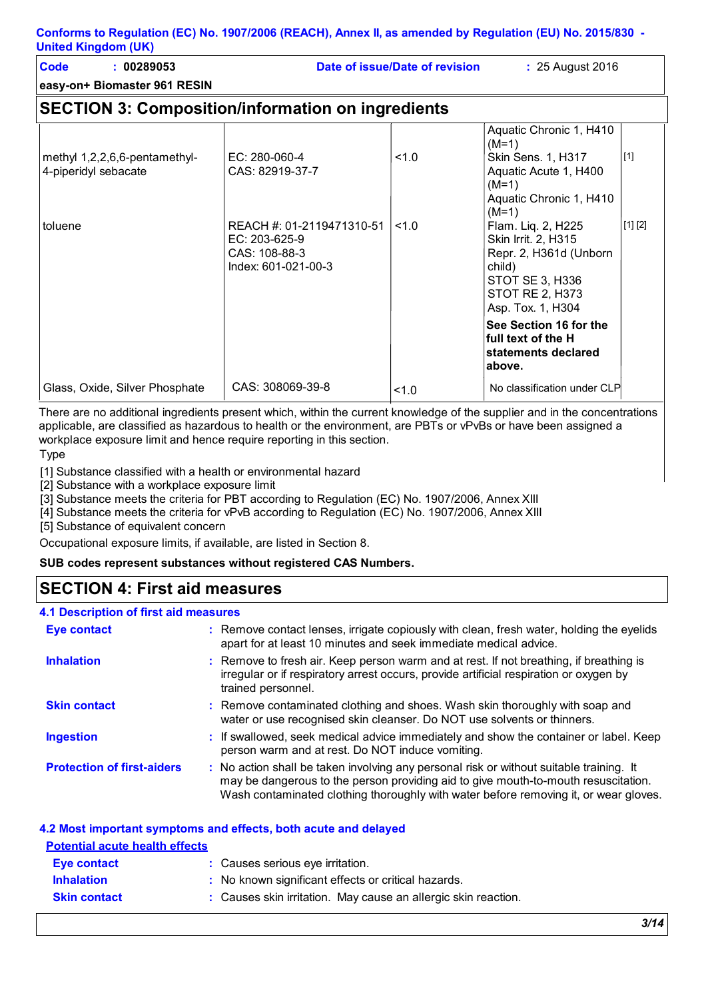| Code | 00289053                     | Date of issue/Date of revision | : 25 August 2016 |
|------|------------------------------|--------------------------------|------------------|
|      | easy-on+ Biomaster 961 RESIN |                                |                  |

## **SECTION 3: Composition/information on ingredients**

| methyl 1,2,2,6,6-pentamethyl-<br>4-piperidyl sebacate | EC: 280-060-4<br>CAS: 82919-37-7                                                     | 1.0 | Aquatic Chronic 1, H410<br>$(M=1)$<br>Skin Sens. 1, H317<br>Aquatic Acute 1, H400<br>$(M=1)$                                                    | $[1]$   |
|-------------------------------------------------------|--------------------------------------------------------------------------------------|-----|-------------------------------------------------------------------------------------------------------------------------------------------------|---------|
|                                                       |                                                                                      |     | Aquatic Chronic 1, H410<br>$(M=1)$                                                                                                              |         |
| toluene                                               | REACH #: 01-2119471310-51<br>$EC: 203-625-9$<br>CAS: 108-88-3<br>Index: 601-021-00-3 | 1.0 | Flam. Liq. 2, H225<br>Skin Irrit. 2, H315<br>Repr. 2, H361d (Unborn<br>child)<br>STOT SE 3, H336<br><b>STOT RE 2, H373</b><br>Asp. Tox. 1, H304 | [1] [2] |
|                                                       |                                                                                      |     | See Section 16 for the<br>lfull text of the H<br>statements declared<br>∣above.                                                                 |         |
| Glass, Oxide, Silver Phosphate                        | CAS: 308069-39-8                                                                     | 1.0 | No classification under CLP                                                                                                                     |         |

There are no additional ingredients present which, within the current knowledge of the supplier and in the concentrations applicable, are classified as hazardous to health or the environment, are PBTs or vPvBs or have been assigned a workplace exposure limit and hence require reporting in this section.

Type

[1] Substance classified with a health or environmental hazard

[2] Substance with a workplace exposure limit

[3] Substance meets the criteria for PBT according to Regulation (EC) No. 1907/2006, Annex XIII

[4] Substance meets the criteria for vPvB according to Regulation (EC) No. 1907/2006, Annex XIII

[5] Substance of equivalent concern

Occupational exposure limits, if available, are listed in Section 8.

#### **SUB codes represent substances without registered CAS Numbers.**

### **SECTION 4: First aid measures**

#### **4.1 Description of first aid measures**

| <b>Eye contact</b>                | : Remove contact lenses, irrigate copiously with clean, fresh water, holding the eyelids<br>apart for at least 10 minutes and seek immediate medical advice.                                                                                                          |
|-----------------------------------|-----------------------------------------------------------------------------------------------------------------------------------------------------------------------------------------------------------------------------------------------------------------------|
| <b>Inhalation</b>                 | : Remove to fresh air. Keep person warm and at rest. If not breathing, if breathing is<br>irregular or if respiratory arrest occurs, provide artificial respiration or oxygen by<br>trained personnel.                                                                |
| <b>Skin contact</b>               | : Remove contaminated clothing and shoes. Wash skin thoroughly with soap and<br>water or use recognised skin cleanser. Do NOT use solvents or thinners.                                                                                                               |
| <b>Ingestion</b>                  | : If swallowed, seek medical advice immediately and show the container or label. Keep<br>person warm and at rest. Do NOT induce vomiting.                                                                                                                             |
| <b>Protection of first-aiders</b> | : No action shall be taken involving any personal risk or without suitable training. It<br>may be dangerous to the person providing aid to give mouth-to-mouth resuscitation.<br>Wash contaminated clothing thoroughly with water before removing it, or wear gloves. |

### **4.2 Most important symptoms and effects, both acute and delayed Potential acute health effects Inhalation :** No known significant effects or critical hazards. **Skin contact :** Causes skin irritation. May cause an allergic skin reaction. **Eye contact :** Causes serious eye irritation.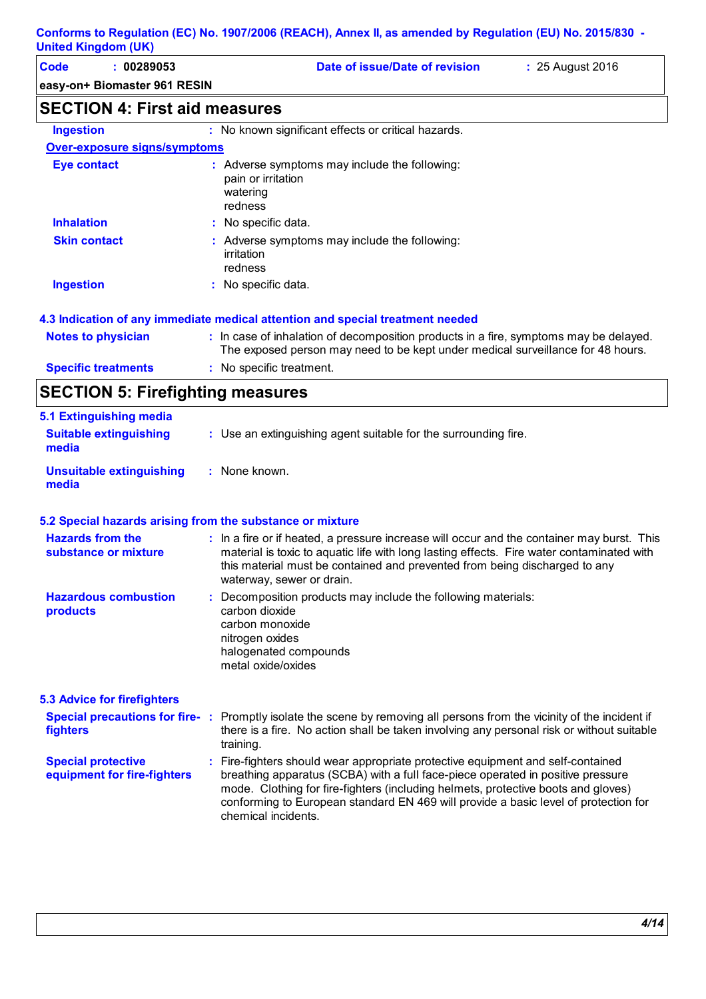| <b>Code</b><br>: 00289053            |                                           | Date of issue/Date of revision                      | : 25 August 2016 |
|--------------------------------------|-------------------------------------------|-----------------------------------------------------|------------------|
| easy-on+ Biomaster 961 RESIN         |                                           |                                                     |                  |
| <b>SECTION 4: First aid measures</b> |                                           |                                                     |                  |
| <b>Ingestion</b>                     |                                           | : No known significant effects or critical hazards. |                  |
| <b>Over-exposure signs/symptoms</b>  |                                           |                                                     |                  |
| <b>Eye contact</b>                   | pain or irritation<br>watering<br>redness | : Adverse symptoms may include the following:       |                  |
| <b>Inhalation</b>                    | : No specific data.                       |                                                     |                  |
| Skin contact                         |                                           | Adverse symptoms may include the following          |                  |

| <b>Skin contact</b>        | : Adverse symptoms may include the following:<br>irritation<br>redness                                                                                                   |
|----------------------------|--------------------------------------------------------------------------------------------------------------------------------------------------------------------------|
| <b>Ingestion</b>           | : No specific data.                                                                                                                                                      |
|                            | 4.3 Indication of any immediate medical attention and special treatment needed                                                                                           |
| <b>Notes to physician</b>  | : In case of inhalation of decomposition products in a fire, symptoms may be delayed.<br>The exposed person may need to be kept under medical surveillance for 48 hours. |
| <b>Specific treatments</b> | No specific treatment.<br>÷                                                                                                                                              |

## **SECTION 5: Firefighting measures**

| 5.1 Extinguishing media                |                                                                 |
|----------------------------------------|-----------------------------------------------------------------|
| <b>Suitable extinguishing</b><br>media | : Use an extinguishing agent suitable for the surrounding fire. |
| Unsuitable extinguishing<br>media      | : None known.                                                   |

#### **5.2 Special hazards arising from the substance or mixture**

| <b>Hazards from the</b><br>substance or mixture          | : In a fire or if heated, a pressure increase will occur and the container may burst. This<br>material is toxic to aquatic life with long lasting effects. Fire water contaminated with<br>this material must be contained and prevented from being discharged to any<br>waterway, sewer or drain.                                                                    |
|----------------------------------------------------------|-----------------------------------------------------------------------------------------------------------------------------------------------------------------------------------------------------------------------------------------------------------------------------------------------------------------------------------------------------------------------|
| <b>Hazardous combustion</b><br>products                  | : Decomposition products may include the following materials:<br>carbon dioxide<br>carbon monoxide<br>nitrogen oxides<br>halogenated compounds<br>metal oxide/oxides                                                                                                                                                                                                  |
| <b>5.3 Advice for firefighters</b>                       |                                                                                                                                                                                                                                                                                                                                                                       |
| fighters                                                 | Special precautions for fire-: Promptly isolate the scene by removing all persons from the vicinity of the incident if<br>there is a fire. No action shall be taken involving any personal risk or without suitable<br>training.                                                                                                                                      |
| <b>Special protective</b><br>equipment for fire-fighters | : Fire-fighters should wear appropriate protective equipment and self-contained<br>breathing apparatus (SCBA) with a full face-piece operated in positive pressure<br>mode. Clothing for fire-fighters (including helmets, protective boots and gloves)<br>conforming to European standard EN 469 will provide a basic level of protection for<br>chemical incidents. |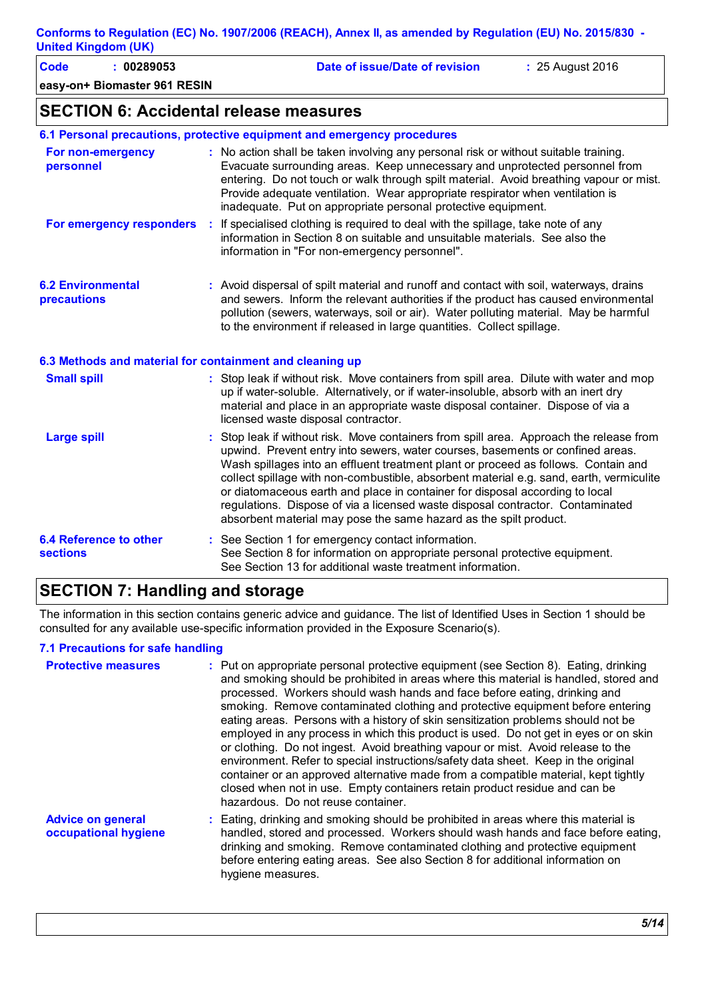**easy-on+ Biomaster 961 RESIN Code : 00289053 Date of issue/Date of revision :** 25 August 2016

### **SECTION 6: Accidental release measures**

|  |  |  | 6.1 Personal precautions, protective equipment and emergency procedures |  |
|--|--|--|-------------------------------------------------------------------------|--|
|  |  |  |                                                                         |  |

| For non-emergency<br>personnel                           | : No action shall be taken involving any personal risk or without suitable training.<br>Evacuate surrounding areas. Keep unnecessary and unprotected personnel from<br>entering. Do not touch or walk through spilt material. Avoid breathing vapour or mist.<br>Provide adequate ventilation. Wear appropriate respirator when ventilation is<br>inadequate. Put on appropriate personal protective equipment. |
|----------------------------------------------------------|-----------------------------------------------------------------------------------------------------------------------------------------------------------------------------------------------------------------------------------------------------------------------------------------------------------------------------------------------------------------------------------------------------------------|
| For emergency responders                                 | : If specialised clothing is required to deal with the spillage, take note of any<br>information in Section 8 on suitable and unsuitable materials. See also the<br>information in "For non-emergency personnel".                                                                                                                                                                                               |
| <b>6.2 Environmental</b><br><b>precautions</b>           | : Avoid dispersal of spilt material and runoff and contact with soil, waterways, drains<br>and sewers. Inform the relevant authorities if the product has caused environmental<br>pollution (sewers, waterways, soil or air). Water polluting material. May be harmful<br>to the environment if released in large quantities. Collect spillage.                                                                 |
| 6.3 Methods and material for containment and cleaning up |                                                                                                                                                                                                                                                                                                                                                                                                                 |
| <b>Small spill</b>                                       | : Stop leak if without risk. Move containers from spill area. Dilute with water and mop<br>up if water-soluble. Alternatively, or if water-insoluble, absorb with an inert dry<br>material and place in an appropriate waste disposal container. Dispose of via a<br>licensed waste disposal contractor.                                                                                                        |
|                                                          | $\bullet$ . The set of the set of the set of the set of the set of the set of the set of the set of the set of the set of the set of the set of the set of the set of the set of the set of the set of the set of the set of the s                                                                                                                                                                              |

| Large spill                   | : Stop leak if without risk. Move containers from spill area. Approach the release from<br>upwind. Prevent entry into sewers, water courses, basements or confined areas.<br>Wash spillages into an effluent treatment plant or proceed as follows. Contain and<br>collect spillage with non-combustible, absorbent material e.g. sand, earth, vermiculite<br>or diatomaceous earth and place in container for disposal according to local<br>regulations. Dispose of via a licensed waste disposal contractor. Contaminated<br>absorbent material may pose the same hazard as the spilt product. |
|-------------------------------|---------------------------------------------------------------------------------------------------------------------------------------------------------------------------------------------------------------------------------------------------------------------------------------------------------------------------------------------------------------------------------------------------------------------------------------------------------------------------------------------------------------------------------------------------------------------------------------------------|
| <b>6.4 Reference to other</b> | : See Section 1 for emergency contact information.                                                                                                                                                                                                                                                                                                                                                                                                                                                                                                                                                |

See Section 13 for additional waste treatment information.

See Section 8 for information on appropriate personal protective equipment.

## **SECTION 7: Handling and storage**

The information in this section contains generic advice and guidance. The list of Identified Uses in Section 1 should be consulted for any available use-specific information provided in the Exposure Scenario(s).

#### **7.1 Precautions for safe handling**

**sections**

| <b>Protective measures</b>                       | : Put on appropriate personal protective equipment (see Section 8). Eating, drinking<br>and smoking should be prohibited in areas where this material is handled, stored and<br>processed. Workers should wash hands and face before eating, drinking and<br>smoking. Remove contaminated clothing and protective equipment before entering<br>eating areas. Persons with a history of skin sensitization problems should not be<br>employed in any process in which this product is used. Do not get in eyes or on skin<br>or clothing. Do not ingest. Avoid breathing vapour or mist. Avoid release to the<br>environment. Refer to special instructions/safety data sheet. Keep in the original<br>container or an approved alternative made from a compatible material, kept tightly<br>closed when not in use. Empty containers retain product residue and can be<br>hazardous. Do not reuse container. |
|--------------------------------------------------|--------------------------------------------------------------------------------------------------------------------------------------------------------------------------------------------------------------------------------------------------------------------------------------------------------------------------------------------------------------------------------------------------------------------------------------------------------------------------------------------------------------------------------------------------------------------------------------------------------------------------------------------------------------------------------------------------------------------------------------------------------------------------------------------------------------------------------------------------------------------------------------------------------------|
| <b>Advice on general</b><br>occupational hygiene | : Eating, drinking and smoking should be prohibited in areas where this material is<br>handled, stored and processed. Workers should wash hands and face before eating,<br>drinking and smoking. Remove contaminated clothing and protective equipment<br>before entering eating areas. See also Section 8 for additional information on<br>hygiene measures.                                                                                                                                                                                                                                                                                                                                                                                                                                                                                                                                                |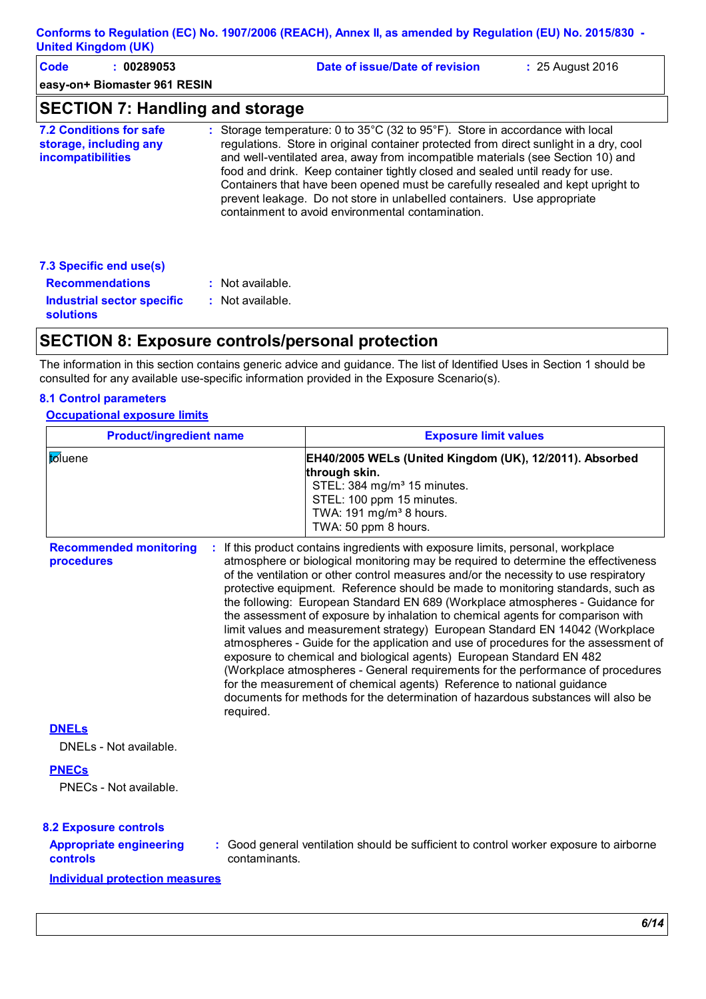| Code<br>: 00289053<br>easy-on+ Biomaster 961 RESIN                                   | Date of issue/Date of revision<br>: 25 August 2016                                                                                                                                                                                                                                                                                                                                                                                                                                                                                                                                 |
|--------------------------------------------------------------------------------------|------------------------------------------------------------------------------------------------------------------------------------------------------------------------------------------------------------------------------------------------------------------------------------------------------------------------------------------------------------------------------------------------------------------------------------------------------------------------------------------------------------------------------------------------------------------------------------|
| <b>SECTION 7: Handling and storage</b>                                               |                                                                                                                                                                                                                                                                                                                                                                                                                                                                                                                                                                                    |
| <b>7.2 Conditions for safe</b><br>storage, including any<br><b>incompatibilities</b> | : Storage temperature: 0 to $35^{\circ}$ C (32 to $95^{\circ}$ F). Store in accordance with local<br>regulations. Store in original container protected from direct sunlight in a dry, cool<br>and well-ventilated area, away from incompatible materials (see Section 10) and<br>food and drink. Keep container tightly closed and sealed until ready for use.<br>Containers that have been opened must be carefully resealed and kept upright to<br>prevent leakage. Do not store in unlabelled containers. Use appropriate<br>containment to avoid environmental contamination. |
| 7.3 Specific end use(s)                                                              |                                                                                                                                                                                                                                                                                                                                                                                                                                                                                                                                                                                    |
| <b>Recommendations</b>                                                               | $:$ Not available.                                                                                                                                                                                                                                                                                                                                                                                                                                                                                                                                                                 |
| Industrial sector specific<br><b>solutions</b>                                       | : Not available.                                                                                                                                                                                                                                                                                                                                                                                                                                                                                                                                                                   |

### **SECTION 8: Exposure controls/personal protection**

The information in this section contains generic advice and guidance. The list of Identified Uses in Section 1 should be consulted for any available use-specific information provided in the Exposure Scenario(s).

#### **8.1 Control parameters**

#### **Occupational exposure limits**

| <b>Product/ingredient name</b>                              | <b>Exposure limit values</b>                                                                                                                                                                                                                                                                                                                                                                                                                                                                                                                                                                                                                                                                                                                                                                                                                                                                                                                                                                                        |
|-------------------------------------------------------------|---------------------------------------------------------------------------------------------------------------------------------------------------------------------------------------------------------------------------------------------------------------------------------------------------------------------------------------------------------------------------------------------------------------------------------------------------------------------------------------------------------------------------------------------------------------------------------------------------------------------------------------------------------------------------------------------------------------------------------------------------------------------------------------------------------------------------------------------------------------------------------------------------------------------------------------------------------------------------------------------------------------------|
| toluene                                                     | EH40/2005 WELs (United Kingdom (UK), 12/2011). Absorbed<br>through skin.<br>STEL: 384 mg/m <sup>3</sup> 15 minutes.<br>STEL: 100 ppm 15 minutes.<br>TWA: 191 mg/m <sup>3</sup> 8 hours.<br>TWA: 50 ppm 8 hours.                                                                                                                                                                                                                                                                                                                                                                                                                                                                                                                                                                                                                                                                                                                                                                                                     |
| <b>Recommended monitoring</b><br>procedures<br>required.    | If this product contains ingredients with exposure limits, personal, workplace<br>atmosphere or biological monitoring may be required to determine the effectiveness<br>of the ventilation or other control measures and/or the necessity to use respiratory<br>protective equipment. Reference should be made to monitoring standards, such as<br>the following: European Standard EN 689 (Workplace atmospheres - Guidance for<br>the assessment of exposure by inhalation to chemical agents for comparison with<br>limit values and measurement strategy) European Standard EN 14042 (Workplace<br>atmospheres - Guide for the application and use of procedures for the assessment of<br>exposure to chemical and biological agents) European Standard EN 482<br>(Workplace atmospheres - General requirements for the performance of procedures<br>for the measurement of chemical agents) Reference to national guidance<br>documents for methods for the determination of hazardous substances will also be |
| <b>DNELS</b><br>DNELs - Not available.                      |                                                                                                                                                                                                                                                                                                                                                                                                                                                                                                                                                                                                                                                                                                                                                                                                                                                                                                                                                                                                                     |
| <b>PNECs</b><br>PNECs - Not available.                      |                                                                                                                                                                                                                                                                                                                                                                                                                                                                                                                                                                                                                                                                                                                                                                                                                                                                                                                                                                                                                     |
| <b>8.2 Exposure controls</b>                                |                                                                                                                                                                                                                                                                                                                                                                                                                                                                                                                                                                                                                                                                                                                                                                                                                                                                                                                                                                                                                     |
| <b>Appropriate engineering</b><br>controls<br>contaminants. | : Good general ventilation should be sufficient to control worker exposure to airborne                                                                                                                                                                                                                                                                                                                                                                                                                                                                                                                                                                                                                                                                                                                                                                                                                                                                                                                              |
| <b>Individual protection measures</b>                       |                                                                                                                                                                                                                                                                                                                                                                                                                                                                                                                                                                                                                                                                                                                                                                                                                                                                                                                                                                                                                     |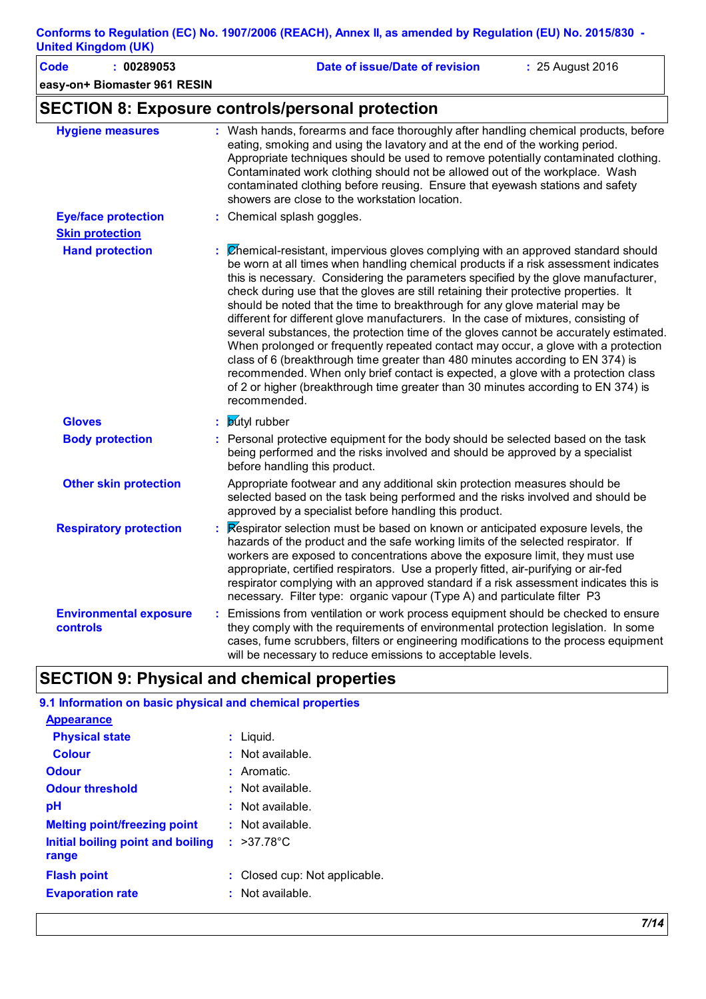| umeu ninguum (un)                                |                                                                                                                                                                                                                                                                                                                                                                                                                                                                                                                                                                                                                                                                                                                                                                                                                                                                                                                                                                                          |
|--------------------------------------------------|------------------------------------------------------------------------------------------------------------------------------------------------------------------------------------------------------------------------------------------------------------------------------------------------------------------------------------------------------------------------------------------------------------------------------------------------------------------------------------------------------------------------------------------------------------------------------------------------------------------------------------------------------------------------------------------------------------------------------------------------------------------------------------------------------------------------------------------------------------------------------------------------------------------------------------------------------------------------------------------|
| <b>Code</b><br>: 00289053                        | Date of issue/Date of revision<br>: 25 August 2016                                                                                                                                                                                                                                                                                                                                                                                                                                                                                                                                                                                                                                                                                                                                                                                                                                                                                                                                       |
| easy-on+ Biomaster 961 RESIN                     |                                                                                                                                                                                                                                                                                                                                                                                                                                                                                                                                                                                                                                                                                                                                                                                                                                                                                                                                                                                          |
|                                                  | <b>SECTION 8: Exposure controls/personal protection</b>                                                                                                                                                                                                                                                                                                                                                                                                                                                                                                                                                                                                                                                                                                                                                                                                                                                                                                                                  |
| <b>Hygiene measures</b>                          | : Wash hands, forearms and face thoroughly after handling chemical products, before<br>eating, smoking and using the lavatory and at the end of the working period.<br>Appropriate techniques should be used to remove potentially contaminated clothing.<br>Contaminated work clothing should not be allowed out of the workplace. Wash<br>contaminated clothing before reusing. Ensure that eyewash stations and safety<br>showers are close to the workstation location.                                                                                                                                                                                                                                                                                                                                                                                                                                                                                                              |
| <b>Eye/face protection</b>                       | : Chemical splash goggles.                                                                                                                                                                                                                                                                                                                                                                                                                                                                                                                                                                                                                                                                                                                                                                                                                                                                                                                                                               |
| <b>Skin protection</b>                           |                                                                                                                                                                                                                                                                                                                                                                                                                                                                                                                                                                                                                                                                                                                                                                                                                                                                                                                                                                                          |
| <b>Hand protection</b>                           | : Chemical-resistant, impervious gloves complying with an approved standard should<br>be worn at all times when handling chemical products if a risk assessment indicates<br>this is necessary. Considering the parameters specified by the glove manufacturer,<br>check during use that the gloves are still retaining their protective properties. It<br>should be noted that the time to breakthrough for any glove material may be<br>different for different glove manufacturers. In the case of mixtures, consisting of<br>several substances, the protection time of the gloves cannot be accurately estimated.<br>When prolonged or frequently repeated contact may occur, a glove with a protection<br>class of 6 (breakthrough time greater than 480 minutes according to EN 374) is<br>recommended. When only brief contact is expected, a glove with a protection class<br>of 2 or higher (breakthrough time greater than 30 minutes according to EN 374) is<br>recommended. |
| <b>Gloves</b>                                    | : <b>butyl</b> rubber                                                                                                                                                                                                                                                                                                                                                                                                                                                                                                                                                                                                                                                                                                                                                                                                                                                                                                                                                                    |
| <b>Body protection</b>                           | : Personal protective equipment for the body should be selected based on the task<br>being performed and the risks involved and should be approved by a specialist<br>before handling this product.                                                                                                                                                                                                                                                                                                                                                                                                                                                                                                                                                                                                                                                                                                                                                                                      |
| <b>Other skin protection</b>                     | Appropriate footwear and any additional skin protection measures should be<br>selected based on the task being performed and the risks involved and should be<br>approved by a specialist before handling this product.                                                                                                                                                                                                                                                                                                                                                                                                                                                                                                                                                                                                                                                                                                                                                                  |
| <b>Respiratory protection</b>                    | <b>Example 1</b> Respirator selection must be based on known or anticipated exposure levels, the<br>hazards of the product and the safe working limits of the selected respirator. If<br>workers are exposed to concentrations above the exposure limit, they must use<br>appropriate, certified respirators. Use a properly fitted, air-purifying or air-fed<br>respirator complying with an approved standard if a risk assessment indicates this is<br>necessary. Filter type: organic vapour (Type A) and particulate filter P3                                                                                                                                                                                                                                                                                                                                                                                                                                                      |
| <b>Environmental exposure</b><br><b>controls</b> | : Emissions from ventilation or work process equipment should be checked to ensure<br>they comply with the requirements of environmental protection legislation. In some<br>cases, fume scrubbers, filters or engineering modifications to the process equipment<br>will be necessary to reduce emissions to acceptable levels.                                                                                                                                                                                                                                                                                                                                                                                                                                                                                                                                                                                                                                                          |

## **SECTION 9: Physical and chemical properties**

| 9.1 Information on basic physical and chemical properties |                                   |
|-----------------------------------------------------------|-----------------------------------|
| <b>Appearance</b>                                         |                                   |
| <b>Physical state</b>                                     | : Liguid.                         |
| <b>Colour</b>                                             | $:$ Not available.                |
| Odour                                                     | : Aromatic.                       |
| <b>Odour threshold</b>                                    | $\pm$ Not available.              |
| рH                                                        | $:$ Not available.                |
| <b>Melting point/freezing point</b>                       | $:$ Not available.                |
| Initial boiling point and boiling<br>range                | : $>37.78^{\circ}$ C              |
| <b>Flash point</b>                                        | Closed cup: Not applicable.<br>t. |
| <b>Evaporation rate</b>                                   | $:$ Not available.                |
|                                                           |                                   |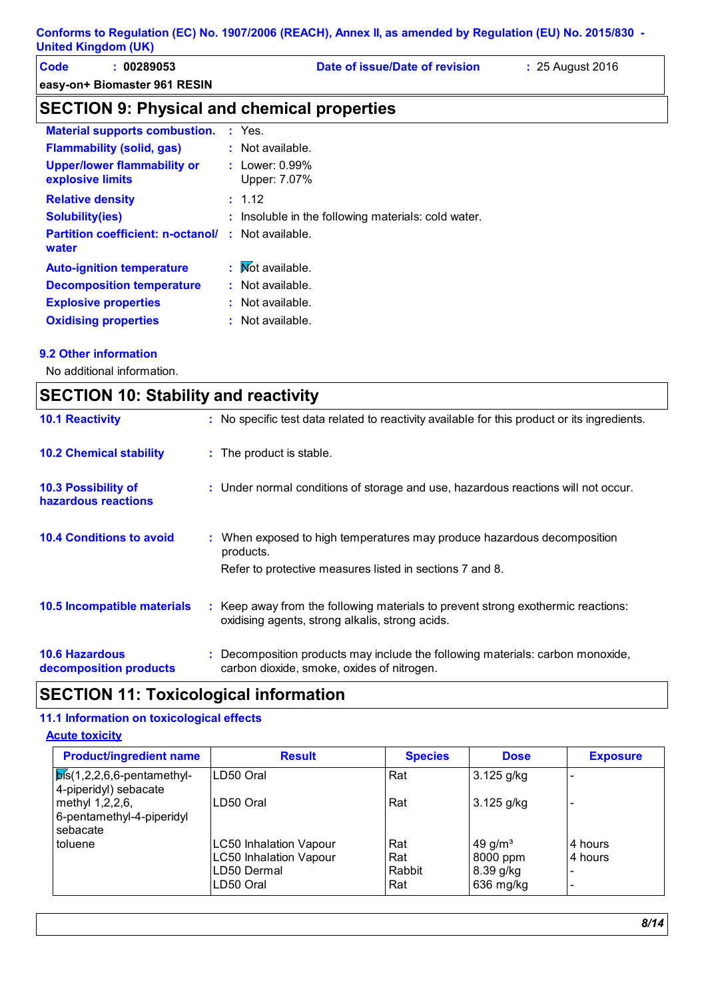| Code | 00289053                     | Date of issue/Date of revision | 25 August 2016 |
|------|------------------------------|--------------------------------|----------------|
|      | easy-on+ Biomaster 961 RESIN |                                |                |

## **SECTION 9: Physical and chemical properties**

| <b>Material supports combustion.</b>                               | $:$ Yes.                                            |
|--------------------------------------------------------------------|-----------------------------------------------------|
| <b>Flammability (solid, gas)</b>                                   | $:$ Not available.                                  |
| <b>Upper/lower flammability or</b><br>explosive limits             | : Lower: $0.99\%$<br>Upper: 7.07%                   |
| <b>Relative density</b>                                            | : 1.12                                              |
| <b>Solubility(ies)</b>                                             | : Insoluble in the following materials: cold water. |
| <b>Partition coefficient: n-octanol/ : Not available.</b><br>water |                                                     |
| <b>Auto-ignition temperature</b>                                   | : Mot available.                                    |
| <b>Decomposition temperature</b>                                   | $:$ Not available.                                  |
| <b>Explosive properties</b>                                        | $:$ Not available.                                  |
| <b>Oxidising properties</b>                                        | : Not available.                                    |

#### **9.2 Other information**

No additional information.

| <b>SECTION 10: Stability and reactivity</b>       |  |                                                                                                                                     |
|---------------------------------------------------|--|-------------------------------------------------------------------------------------------------------------------------------------|
| <b>10.1 Reactivity</b>                            |  | : No specific test data related to reactivity available for this product or its ingredients.                                        |
| <b>10.2 Chemical stability</b>                    |  | : The product is stable.                                                                                                            |
| <b>10.3 Possibility of</b><br>hazardous reactions |  | : Under normal conditions of storage and use, hazardous reactions will not occur.                                                   |
| <b>10.4 Conditions to avoid</b>                   |  | : When exposed to high temperatures may produce hazardous decomposition<br>products.                                                |
|                                                   |  | Refer to protective measures listed in sections 7 and 8.                                                                            |
| 10.5 Incompatible materials                       |  | : Keep away from the following materials to prevent strong exothermic reactions:<br>oxidising agents, strong alkalis, strong acids. |
| <b>10.6 Hazardous</b><br>decomposition products   |  | : Decomposition products may include the following materials: carbon monoxide,<br>carbon dioxide, smoke, oxides of nitrogen.        |

## **SECTION 11: Toxicological information**

#### **11.1 Information on toxicological effects**

#### **Acute toxicity**

| <b>Product/ingredient name</b>                                  | <b>Result</b>                                                                              | <b>Species</b>              | <b>Dose</b>                                               | <b>Exposure</b>                                |
|-----------------------------------------------------------------|--------------------------------------------------------------------------------------------|-----------------------------|-----------------------------------------------------------|------------------------------------------------|
| $\mathsf{b}$ is(1,2,2,6,6-pentamethyl-<br>4-piperidyl) sebacate | LD50 Oral                                                                                  | Rat                         | $3.125$ g/kg                                              |                                                |
| methyl 1,2,2,6,<br>6-pentamethyl-4-piperidyl<br>sebacate        | LD50 Oral                                                                                  | Rat                         | 3.125 g/kg                                                |                                                |
| toluene                                                         | <b>LC50 Inhalation Vapour</b><br><b>LC50 Inhalation Vapour</b><br>LD50 Dermal<br>LD50 Oral | Rat<br>Rat<br>Rabbit<br>Rat | 49 g/m <sup>3</sup><br>8000 ppm<br>8.39 g/kg<br>636 mg/kg | 4 hours<br>4 hours<br>$\overline{\phantom{0}}$ |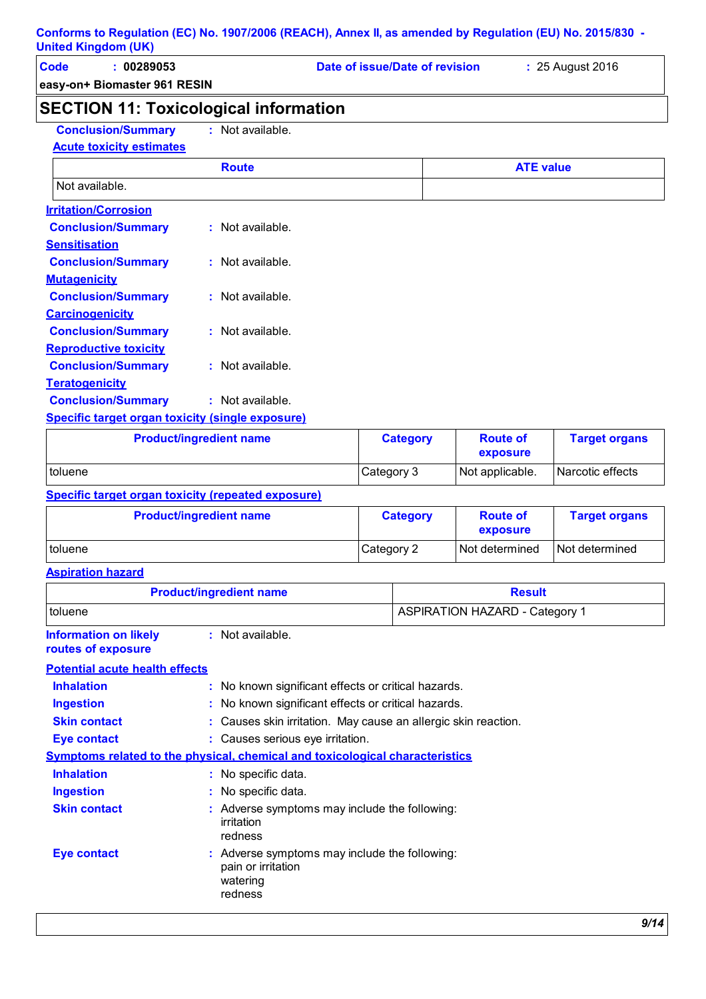| Code | 00289053                     | Date of issue/Date of revision | : 25 August 2016 |
|------|------------------------------|--------------------------------|------------------|
|      | easy-on+ Biomaster 961 RESIN |                                |                  |

## **SECTION 11: Toxicological information**

**Conclusion/Summary :** Not available.

| Conclusion/Summary                                      | : Not available.   |                  |
|---------------------------------------------------------|--------------------|------------------|
| <b>Acute toxicity estimates</b>                         |                    |                  |
|                                                         | <b>Route</b>       | <b>ATE value</b> |
| Not available.                                          |                    |                  |
| <b>Irritation/Corrosion</b>                             |                    |                  |
| <b>Conclusion/Summary</b>                               | : Not available.   |                  |
| <b>Sensitisation</b>                                    |                    |                  |
| <b>Conclusion/Summary</b>                               | $:$ Not available. |                  |
| <b>Mutagenicity</b>                                     |                    |                  |
| <b>Conclusion/Summary</b>                               | $:$ Not available. |                  |
| <b>Carcinogenicity</b>                                  |                    |                  |
| <b>Conclusion/Summary</b>                               | : Not available.   |                  |
| <b>Reproductive toxicity</b>                            |                    |                  |
| <b>Conclusion/Summary</b>                               | $:$ Not available. |                  |
| <b>Teratogenicity</b>                                   |                    |                  |
| <b>Conclusion/Summary</b>                               | : Not available.   |                  |
| <b>Specific target organ toxicity (single exposure)</b> |                    |                  |

| <b>Product/ingredient name</b> | <b>Category</b> | <b>Route of</b><br>exposure | <b>Target organs</b> |
|--------------------------------|-----------------|-----------------------------|----------------------|
| <i>I</i> toluene               | Category 3      | Not applicable.             | Narcotic effects     |

**Specific target organ toxicity (repeated exposure)**

| <b>Product/ingredient name</b> | <b>Category</b> | <b>Route of</b><br>exposure | <b>Target organs</b> |
|--------------------------------|-----------------|-----------------------------|----------------------|
| <b>Itoluene</b>                | Category 2      | Not determined              | Not determined       |

**Aspiration hazard**

| <b>Product/ingredient name</b>                     |                                                                                            | <b>Result</b>                                                  |  |  |
|----------------------------------------------------|--------------------------------------------------------------------------------------------|----------------------------------------------------------------|--|--|
| toluene                                            |                                                                                            | <b>ASPIRATION HAZARD - Category 1</b>                          |  |  |
| <b>Information on likely</b><br>routes of exposure | : Not available.                                                                           |                                                                |  |  |
| <b>Potential acute health effects</b>              |                                                                                            |                                                                |  |  |
| <b>Inhalation</b>                                  | : No known significant effects or critical hazards.                                        |                                                                |  |  |
| <b>Ingestion</b>                                   | : No known significant effects or critical hazards.                                        |                                                                |  |  |
| <b>Skin contact</b>                                |                                                                                            | : Causes skin irritation. May cause an allergic skin reaction. |  |  |
| <b>Eye contact</b>                                 |                                                                                            | : Causes serious eye irritation.                               |  |  |
|                                                    | <b>Symptoms related to the physical, chemical and toxicological characteristics</b>        |                                                                |  |  |
| <b>Inhalation</b>                                  | : No specific data.                                                                        |                                                                |  |  |
| <b>Ingestion</b>                                   | : No specific data.                                                                        |                                                                |  |  |
| <b>Skin contact</b>                                | irritation<br>redness                                                                      | : Adverse symptoms may include the following:                  |  |  |
| <b>Eye contact</b>                                 | : Adverse symptoms may include the following:<br>pain or irritation<br>watering<br>redness |                                                                |  |  |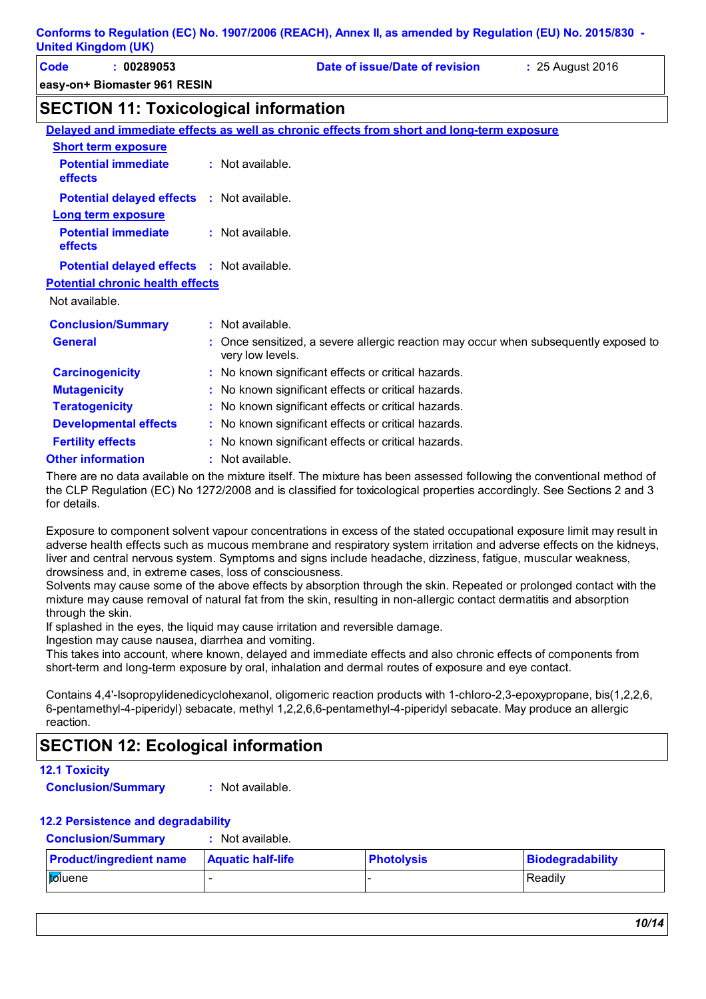| Code | 00289053                     | Date of issue/Date of revision | : 25 August 2016 |
|------|------------------------------|--------------------------------|------------------|
|      | easy-on+ Biomaster 961 RESIN |                                |                  |

## **SECTION 11: Toxicological information**

|                                                   | Delayed and immediate effects as well as chronic effects from short and long-term exposure               |
|---------------------------------------------------|----------------------------------------------------------------------------------------------------------|
| <b>Short term exposure</b>                        |                                                                                                          |
| <b>Potential immediate</b><br>effects             | : Not available.                                                                                         |
| <b>Potential delayed effects : Not available.</b> |                                                                                                          |
| <b>Long term exposure</b>                         |                                                                                                          |
| <b>Potential immediate</b><br>effects             | $:$ Not available.                                                                                       |
| <b>Potential delayed effects : Not available.</b> |                                                                                                          |
| <b>Potential chronic health effects</b>           |                                                                                                          |
| Not available.                                    |                                                                                                          |
| <b>Conclusion/Summary</b>                         | $:$ Not available.                                                                                       |
| <b>General</b>                                    | : Once sensitized, a severe allergic reaction may occur when subsequently exposed to<br>very low levels. |
| <b>Carcinogenicity</b>                            | : No known significant effects or critical hazards.                                                      |
| <b>Mutagenicity</b>                               | : No known significant effects or critical hazards.                                                      |
| <b>Teratogenicity</b>                             | : No known significant effects or critical hazards.                                                      |
| <b>Developmental effects</b>                      | : No known significant effects or critical hazards.                                                      |
| <b>Fertility effects</b>                          | : No known significant effects or critical hazards.                                                      |
| <b>Other information</b>                          | : Not available.                                                                                         |
|                                                   |                                                                                                          |

There are no data available on the mixture itself. The mixture has been assessed following the conventional method of the CLP Regulation (EC) No 1272/2008 and is classified for toxicological properties accordingly. See Sections 2 and 3 for details.

Exposure to component solvent vapour concentrations in excess of the stated occupational exposure limit may result in adverse health effects such as mucous membrane and respiratory system irritation and adverse effects on the kidneys, liver and central nervous system. Symptoms and signs include headache, dizziness, fatigue, muscular weakness, drowsiness and, in extreme cases, loss of consciousness.

Solvents may cause some of the above effects by absorption through the skin. Repeated or prolonged contact with the mixture may cause removal of natural fat from the skin, resulting in non-allergic contact dermatitis and absorption through the skin.

If splashed in the eyes, the liquid may cause irritation and reversible damage.

Ingestion may cause nausea, diarrhea and vomiting.

This takes into account, where known, delayed and immediate effects and also chronic effects of components from short-term and long-term exposure by oral, inhalation and dermal routes of exposure and eye contact.

Contains 4,4'-Isopropylidenedicyclohexanol, oligomeric reaction products with 1-chloro-2,3-epoxypropane, bis(1,2,2,6, 6-pentamethyl-4-piperidyl) sebacate, methyl 1,2,2,6,6-pentamethyl-4-piperidyl sebacate. May produce an allergic reaction.

## **SECTION 12: Ecological information**

#### **12.1 Toxicity**

**Conclusion/Summary :** Not available.

#### **12.2 Persistence and degradability**

**Conclusion/Summary :** Not available.

| <b>Product/ingredient name</b> | <b>Aquatic half-life</b> | <b>Photolysis</b> | Biodegradability |
|--------------------------------|--------------------------|-------------------|------------------|
| toluene                        |                          |                   | Readily          |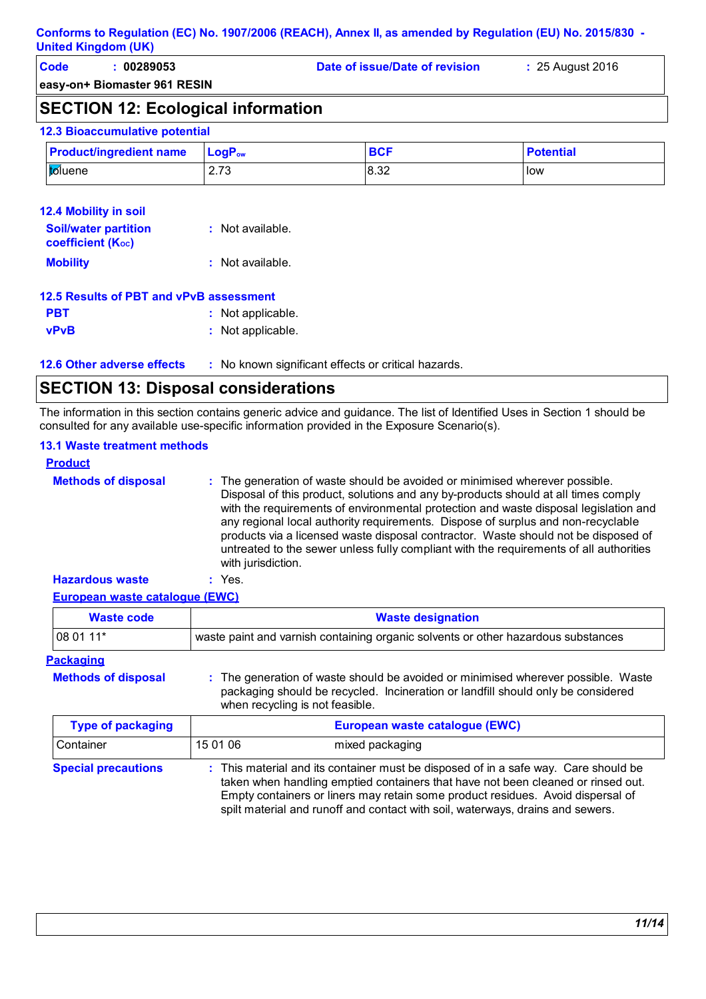| Code | 00289053 | Date of issue/Date of revision | : 25 August 2016 |
|------|----------|--------------------------------|------------------|
|      |          |                                |                  |

**easy-on+ Biomaster 961 RESIN**

## **SECTION 12: Ecological information**

#### **12.3 Bioaccumulative potential**

| <b>Product/ingredient name</b> | $\blacksquare$ Loq $\mathsf{P}_{\mathsf{ow}}$ | <b>BCF</b> | <b>Potential</b> |
|--------------------------------|-----------------------------------------------|------------|------------------|
| l <mark>to</mark> luene        | $\overline{z}$<br>ں ، ۔ ک                     | 8.32       | low              |

| <b>12.4 Mobility in soil</b>                            |                  |
|---------------------------------------------------------|------------------|
| <b>Soil/water partition</b><br><b>coefficient (Koc)</b> | : Not available. |
| <b>Mobility</b>                                         | : Not available. |
| 12 E Peculto of DPT and vPvP accoroment                 |                  |

#### **12.5 Results of PBT and vPvB assessment**

- **PBT :** Not applicable. **vPvB :** Not applicable.
- **12.6 Other adverse effects** : No known significant effects or critical hazards.

### **SECTION 13: Disposal considerations**

The information in this section contains generic advice and guidance. The list of Identified Uses in Section 1 should be consulted for any available use-specific information provided in the Exposure Scenario(s).

#### **13.1 Waste treatment methods**

| <b>Product</b>             |                                                                                                                                                                                                                                                                                                                                                                                                                                                                                                                                                     |
|----------------------------|-----------------------------------------------------------------------------------------------------------------------------------------------------------------------------------------------------------------------------------------------------------------------------------------------------------------------------------------------------------------------------------------------------------------------------------------------------------------------------------------------------------------------------------------------------|
| <b>Methods of disposal</b> | : The generation of waste should be avoided or minimised wherever possible.<br>Disposal of this product, solutions and any by-products should at all times comply<br>with the requirements of environmental protection and waste disposal legislation and<br>any regional local authority requirements. Dispose of surplus and non-recyclable<br>products via a licensed waste disposal contractor. Waste should not be disposed of<br>untreated to the sewer unless fully compliant with the requirements of all authorities<br>with jurisdiction. |
| <b>Hazardous waste</b>     | : Yes.                                                                                                                                                                                                                                                                                                                                                                                                                                                                                                                                              |

#### **European waste catalogue (EWC)**

| <b>Waste code</b>          | <b>Waste designation</b>                                                                                                                                                                                 |
|----------------------------|----------------------------------------------------------------------------------------------------------------------------------------------------------------------------------------------------------|
| 08 01 11*                  | waste paint and varnish containing organic solvents or other hazardous substances                                                                                                                        |
| <b>Packaging</b>           |                                                                                                                                                                                                          |
| <b>Methods of disposal</b> | : The generation of waste should be avoided or minimised wherever possible. Waste<br>packaging should be recycled. Incineration or landfill should only be considered<br>when recycling is not feasible. |

| <b>Type of packaging</b>   |          | European waste catalogue (EWC)                                                                                                                                                                                                                                                                                                               |
|----------------------------|----------|----------------------------------------------------------------------------------------------------------------------------------------------------------------------------------------------------------------------------------------------------------------------------------------------------------------------------------------------|
| l Container                | 15 01 06 | mixed packaging                                                                                                                                                                                                                                                                                                                              |
| <b>Special precautions</b> |          | : This material and its container must be disposed of in a safe way. Care should be<br>taken when handling emptied containers that have not been cleaned or rinsed out.<br>Empty containers or liners may retain some product residues. Avoid dispersal of<br>spilt material and runoff and contact with soil, waterways, drains and sewers. |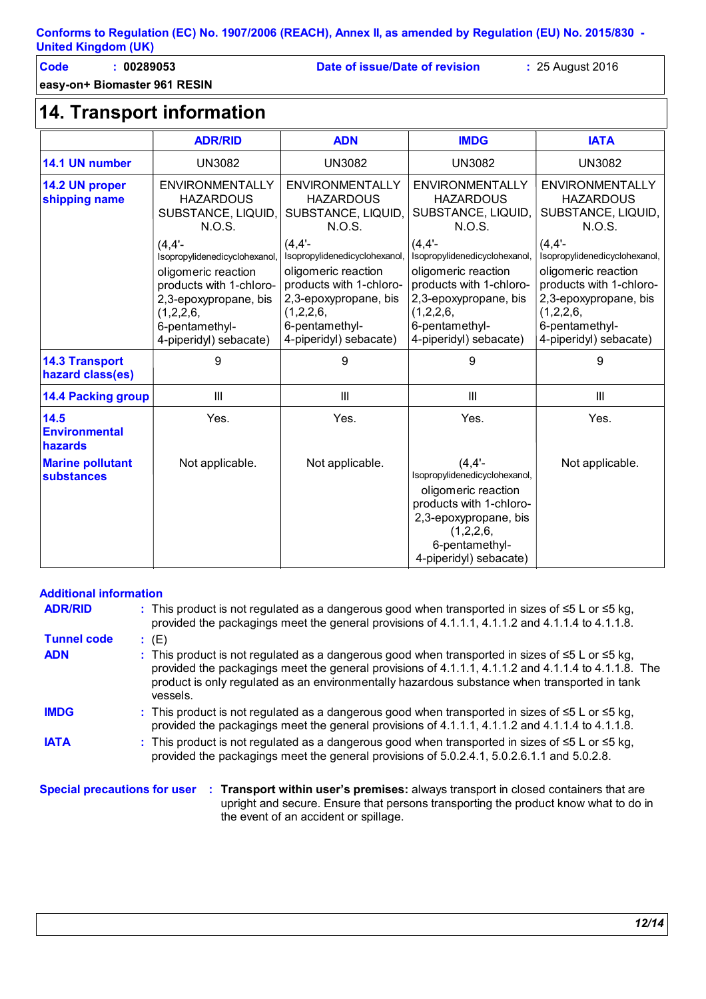| Conforms to Regulation (EC) No. 1907/2006 (REACH), Annex II, as amended by Regulation (EU) No. 2015/830 - |  |  |
|-----------------------------------------------------------------------------------------------------------|--|--|
| <b>United Kingdom (UK)</b>                                                                                |  |  |

**easy-on+ Biomaster 961 RESIN**

**Code : 00289053 Date of issue/Date of revision :** 25 August 2016

## **14. Transport information**

|                                                                                                                                             | <b>ADR/RID</b>                                                                                                                                                            | <b>ADN</b>                                                                                                                                                                  | <b>IMDG</b>                                                                                                                                                                 | <b>IATA</b>                                                                                                                                                                 |
|---------------------------------------------------------------------------------------------------------------------------------------------|---------------------------------------------------------------------------------------------------------------------------------------------------------------------------|-----------------------------------------------------------------------------------------------------------------------------------------------------------------------------|-----------------------------------------------------------------------------------------------------------------------------------------------------------------------------|-----------------------------------------------------------------------------------------------------------------------------------------------------------------------------|
| 14.1 UN number                                                                                                                              | <b>UN3082</b>                                                                                                                                                             | <b>UN3082</b>                                                                                                                                                               | <b>UN3082</b>                                                                                                                                                               | <b>UN3082</b>                                                                                                                                                               |
| <b>ENVIRONMENTALLY</b><br>14.2 UN proper<br><b>HAZARDOUS</b><br>shipping name<br><b>HAZARDOUS</b><br>SUBSTANCE, LIQUID,<br>N.O.S.<br>N.O.S. |                                                                                                                                                                           | <b>ENVIRONMENTALLY</b><br>SUBSTANCE, LIQUID,                                                                                                                                | ENVIRONMENTALLY<br><b>HAZARDOUS</b><br>SUBSTANCE, LIQUID,<br>N.O.S.                                                                                                         | <b>ENVIRONMENTALLY</b><br><b>HAZARDOUS</b><br>SUBSTANCE, LIQUID,<br>N.O.S.                                                                                                  |
|                                                                                                                                             | (4.4'<br>Isopropylidenedicyclohexanol<br>oligomeric reaction<br>products with 1-chloro-<br>2,3-epoxypropane, bis<br>(1,2,2,6,<br>6-pentamethyl-<br>4-piperidyl) sebacate) | (4, 4'<br>Isopropylidenedicyclohexanol,<br>oligomeric reaction<br>products with 1-chloro-<br>2,3-epoxypropane, bis<br>(1,2,2,6,<br>6-pentamethyl-<br>4-piperidyl) sebacate) | (4, 4'<br>Isopropylidenedicyclohexanol,<br>oligomeric reaction<br>products with 1-chloro-<br>2,3-epoxypropane, bis<br>(1,2,2,6,<br>6-pentamethyl-<br>4-piperidyl) sebacate) | (4, 4'<br>Isopropylidenedicyclohexanol,<br>oligomeric reaction<br>products with 1-chloro-<br>2,3-epoxypropane, bis<br>(1,2,2,6,<br>6-pentamethyl-<br>4-piperidyl) sebacate) |
| <b>14.3 Transport</b><br>hazard class(es)                                                                                                   | 9                                                                                                                                                                         | 9                                                                                                                                                                           | 9                                                                                                                                                                           | 9                                                                                                                                                                           |
| <b>14.4 Packing group</b>                                                                                                                   | Ш                                                                                                                                                                         | Ш                                                                                                                                                                           | Ш                                                                                                                                                                           | Ш                                                                                                                                                                           |
| 14.5<br><b>Environmental</b><br>hazards                                                                                                     | Yes.                                                                                                                                                                      | Yes.                                                                                                                                                                        | Yes.                                                                                                                                                                        | Yes.                                                                                                                                                                        |
| <b>Marine pollutant</b><br><b>substances</b>                                                                                                | Not applicable.                                                                                                                                                           | Not applicable.                                                                                                                                                             | (4, 4'<br>Isopropylidenedicyclohexanol,<br>oligomeric reaction<br>products with 1-chloro-<br>2,3-epoxypropane, bis<br>(1,2,2,6,<br>6-pentamethyl-<br>4-piperidyl) sebacate) | Not applicable.                                                                                                                                                             |

#### **Additional information**

| <b>ADR/RID</b>     | : This product is not regulated as a dangerous good when transported in sizes of $\leq 5$ L or $\leq 5$ kg,<br>provided the packagings meet the general provisions of 4.1.1.1, 4.1.1.2 and 4.1.1.4 to 4.1.1.8.                                                                                                                 |
|--------------------|--------------------------------------------------------------------------------------------------------------------------------------------------------------------------------------------------------------------------------------------------------------------------------------------------------------------------------|
| <b>Tunnel code</b> | : (E)                                                                                                                                                                                                                                                                                                                          |
| <b>ADN</b>         | : This product is not regulated as a dangerous good when transported in sizes of $\leq 5$ L or $\leq 5$ kg,<br>provided the packagings meet the general provisions of 4.1.1.1, 4.1.1.2 and 4.1.1.4 to 4.1.1.8. The<br>product is only regulated as an environmentally hazardous substance when transported in tank<br>vessels. |
| <b>IMDG</b>        | : This product is not regulated as a dangerous good when transported in sizes of $\leq 5$ L or $\leq 5$ kg,<br>provided the packagings meet the general provisions of 4.1.1.1, 4.1.1.2 and 4.1.1.4 to 4.1.1.8.                                                                                                                 |
| <b>IATA</b>        | : This product is not regulated as a dangerous good when transported in sizes of $\leq 5$ L or $\leq 5$ kg,<br>provided the packagings meet the general provisions of 5.0.2.4.1, 5.0.2.6.1.1 and 5.0.2.8.                                                                                                                      |
|                    | <b>Special processions for user</b> : <b>Transport within user's promises:</b> always transport in elocad containers that are                                                                                                                                                                                                  |

**Special precautions for user Transport within user's premises:** always transport in closed containers that are **:** upright and secure. Ensure that persons transporting the product know what to do in the event of an accident or spillage.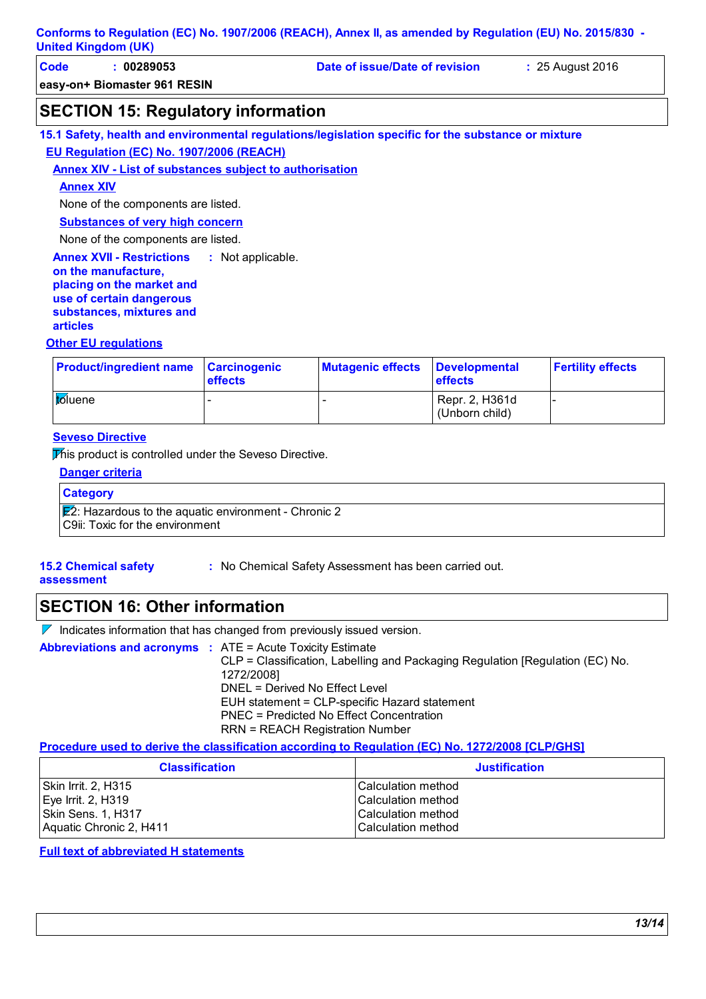| Code | 00289053                     | Date of issue/Date of revision | : 25 August 2016 |
|------|------------------------------|--------------------------------|------------------|
|      | easy-on+ Biomaster 961 RESIN |                                |                  |

### **SECTION 15: Regulatory information**

**15.1 Safety, health and environmental regulations/legislation specific for the substance or mixture EU Regulation (EC) No. 1907/2006 (REACH)**

#### **Annex XIV - List of substances subject to authorisation**

#### **Annex XIV**

None of the components are listed.

**Substances of very high concern**

None of the components are listed.

**Annex XVII - Restrictions on the manufacture, placing on the market and use of certain dangerous substances, mixtures and articles** : Not applicable.

#### **Other EU regulations**

| <b>Product/ingredient name Carcinogenic</b> | <b>effects</b> | <b>Mutagenic effects</b> | <b>Developmental</b><br><b>effects</b> | <b>Fertility effects</b> |
|---------------------------------------------|----------------|--------------------------|----------------------------------------|--------------------------|
| toluene                                     |                |                          | Repr. 2, H361d<br>(Unborn child)       |                          |

#### **Seveso Directive**

This product is controlled under the Seveso Directive.

| <b>Danger criteria</b>                                                                              |  |
|-----------------------------------------------------------------------------------------------------|--|
| <b>Category</b>                                                                                     |  |
| $\mathbb{E}$ ?: Hazardous to the aquatic environment - Chronic 2<br>C9ii: Toxic for the environment |  |

**15.2 Chemical safety** 

**:** No Chemical Safety Assessment has been carried out.

**assessment**

**SECTION 16: Other information**

 $\nabla$  Indicates information that has changed from previously issued version.

| <b>Abbreviations and acronyms : ATE = Acute Toxicity Estimate</b> |                                                                               |
|-------------------------------------------------------------------|-------------------------------------------------------------------------------|
|                                                                   | CLP = Classification, Labelling and Packaging Regulation [Regulation (EC) No. |
|                                                                   | 1272/20081                                                                    |
|                                                                   | DNEL = Derived No Effect Level                                                |
|                                                                   | EUH statement = CLP-specific Hazard statement                                 |
|                                                                   | PNEC = Predicted No Effect Concentration                                      |
|                                                                   | <b>RRN = REACH Registration Number</b>                                        |

#### **Procedure used to derive the classification according to Regulation (EC) No. 1272/2008 [CLP/GHS]**

| <b>Classification</b>   | <b>Justification</b>      |
|-------------------------|---------------------------|
| Skin Irrit. 2, H315     | ICalculation method       |
| Eye Irrit. 2, H319      | <b>Calculation method</b> |
| Skin Sens. 1, H317      | <b>Calculation method</b> |
| Aquatic Chronic 2, H411 | <b>Calculation method</b> |

#### **Full text of abbreviated H statements**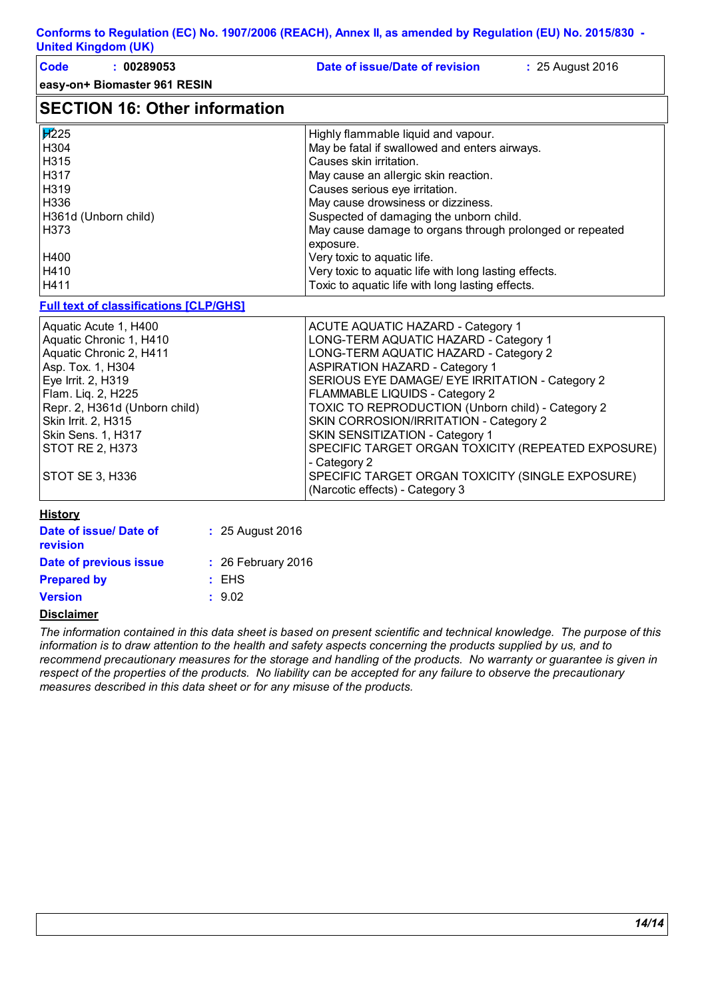| United Kingdom (UK)                           |                    |                                                          |
|-----------------------------------------------|--------------------|----------------------------------------------------------|
| <b>Code</b><br>: 00289053                     |                    | Date of issue/Date of revision<br>: 25 August 2016       |
| easy-on+ Biomaster 961 RESIN                  |                    |                                                          |
| <b>SECTION 16: Other information</b>          |                    |                                                          |
| $\overline{17}$ 25                            |                    | Highly flammable liquid and vapour.                      |
| H304                                          |                    | May be fatal if swallowed and enters airways.            |
| H315                                          |                    | Causes skin irritation.                                  |
| H317                                          |                    | May cause an allergic skin reaction.                     |
| H319                                          |                    | Causes serious eye irritation.                           |
| H336                                          |                    | May cause drowsiness or dizziness.                       |
| H361d (Unborn child)                          |                    | Suspected of damaging the unborn child.                  |
| H373                                          |                    | May cause damage to organs through prolonged or repeated |
|                                               |                    | exposure.                                                |
| H400                                          |                    | Very toxic to aquatic life.                              |
| H410                                          |                    | Very toxic to aquatic life with long lasting effects.    |
| H411                                          |                    | Toxic to aquatic life with long lasting effects.         |
| <b>Full text of classifications [CLP/GHS]</b> |                    |                                                          |
| Aquatic Acute 1, H400                         |                    | <b>ACUTE AQUATIC HAZARD - Category 1</b>                 |
| Aquatic Chronic 1, H410                       |                    | LONG-TERM AQUATIC HAZARD - Category 1                    |
| Aquatic Chronic 2, H411                       |                    | LONG-TERM AQUATIC HAZARD - Category 2                    |
| Asp. Tox. 1, H304                             |                    | <b>ASPIRATION HAZARD - Category 1</b>                    |
| Eye Irrit. 2, H319                            |                    | SERIOUS EYE DAMAGE/ EYE IRRITATION - Category 2          |
| Flam. Liq. 2, H225                            |                    | FLAMMABLE LIQUIDS - Category 2                           |
| Repr. 2, H361d (Unborn child)                 |                    | TOXIC TO REPRODUCTION (Unborn child) - Category 2        |
| Skin Irrit. 2, H315                           |                    | SKIN CORROSION/IRRITATION - Category 2                   |
| Skin Sens. 1, H317                            |                    | SKIN SENSITIZATION - Category 1                          |
| STOT RE 2, H373                               |                    | SPECIFIC TARGET ORGAN TOXICITY (REPEATED EXPOSURE)       |
|                                               |                    | - Category 2                                             |
| <b>STOT SE 3, H336</b>                        |                    | SPECIFIC TARGET ORGAN TOXICITY (SINGLE EXPOSURE)         |
|                                               |                    | (Narcotic effects) - Category 3                          |
| <b>History</b>                                |                    |                                                          |
| Date of issue/ Date of                        | : 25 August 2016   |                                                          |
| revision                                      |                    |                                                          |
| Date of previous issue                        | : 26 February 2016 |                                                          |
| <b>Prepared by</b>                            | : EHS              |                                                          |
| <b>Version</b>                                | : 9.02             |                                                          |
| <b>Disclaimer</b>                             |                    |                                                          |
|                                               | .                  |                                                          |

*The information contained in this data sheet is based on present scientific and technical knowledge. The purpose of this information is to draw attention to the health and safety aspects concerning the products supplied by us, and to recommend precautionary measures for the storage and handling of the products. No warranty or guarantee is given in respect of the properties of the products. No liability can be accepted for any failure to observe the precautionary measures described in this data sheet or for any misuse of the products.*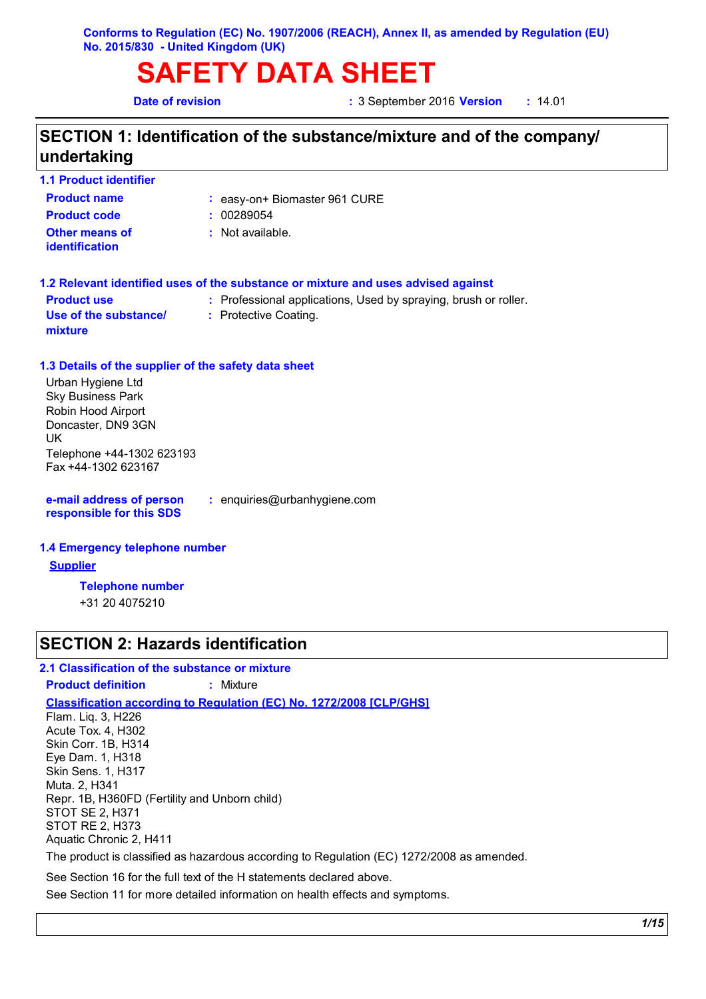**SAFETY DATA SHEET**

**Date of revision :** 3 September 2016 **Version :** 14.01

## **SECTION 1: Identification of the substance/mixture and of the company/ undertaking**

| <b>1.1 Product identifier</b>                        |                                                                                   |
|------------------------------------------------------|-----------------------------------------------------------------------------------|
| <b>Product name</b>                                  | : easy-on+ Biomaster 961 CURE                                                     |
| <b>Product code</b>                                  | : 00289054                                                                        |
| Other means of<br><b>identification</b>              | $:$ Not available.                                                                |
|                                                      | 1.2 Relevant identified uses of the substance or mixture and uses advised against |
| <b>Product use</b>                                   | : Professional applications, Used by spraying, brush or roller.                   |
| Use of the substance/<br>mixture                     | : Protective Coating.                                                             |
| 1.3 Details of the supplier of the safety data sheet |                                                                                   |
| Urban Hygiene Ltd                                    |                                                                                   |
| <b>Sky Business Park</b>                             |                                                                                   |
| Robin Hood Airport<br>Doncaster, DN9 3GN             |                                                                                   |
|                                                      |                                                                                   |

UK Telephone +44-1302 623193 Fax +44-1302 623167

**e-mail address of person responsible for this SDS**

**:** enquiries@urbanhygiene.com

#### **1.4 Emergency telephone number**

**Supplier**

**Telephone number**

+31 20 4075210

### **SECTION 2: Hazards identification**

#### **2.1 Classification of the substance or mixture**

**Product definition :** Mixture

**Classification according to Regulation (EC) No. 1272/2008 [CLP/GHS]**

Flam. Liq. 3, H226 Acute Tox. 4, H302 Skin Corr. 1B, H314 Eye Dam. 1, H318 Skin Sens. 1, H317 Muta. 2, H341 Repr. 1B, H360FD (Fertility and Unborn child) STOT SE 2, H371 STOT RE 2, H373 Aquatic Chronic 2, H411

The product is classified as hazardous according to Regulation (EC) 1272/2008 as amended.

See Section 16 for the full text of the H statements declared above.

See Section 11 for more detailed information on health effects and symptoms.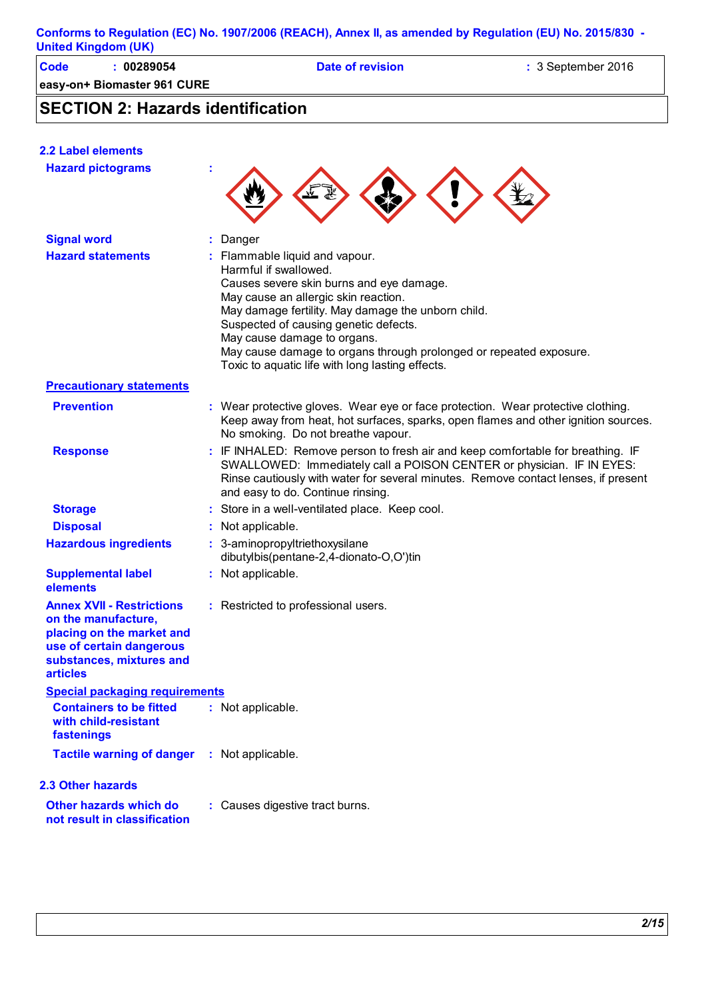|                            | Conforms to Regulation (EC) No. 1907/2006 (REACH), Annex II, as amended by Regulation (EU) No. 2015/830 - |
|----------------------------|-----------------------------------------------------------------------------------------------------------|
| <b>United Kingdom (UK)</b> |                                                                                                           |

| Code | 00289054                                                                                                                                                                                                                                                                                                                                                                                                                          | Date of revision | $\therefore$ 3 September 2016 |
|------|-----------------------------------------------------------------------------------------------------------------------------------------------------------------------------------------------------------------------------------------------------------------------------------------------------------------------------------------------------------------------------------------------------------------------------------|------------------|-------------------------------|
|      | easy-on+ Biomaster 961 CURE                                                                                                                                                                                                                                                                                                                                                                                                       |                  |                               |
|      | $\overline{C}$ $\overline{C}$ $\overline{C}$ $\overline{C}$ $\overline{C}$ $\overline{C}$ $\overline{C}$ $\overline{C}$ $\overline{C}$ $\overline{C}$ $\overline{C}$ $\overline{C}$ $\overline{C}$ $\overline{C}$ $\overline{C}$ $\overline{C}$ $\overline{C}$ $\overline{C}$ $\overline{C}$ $\overline{C}$ $\overline{C}$ $\overline{C}$ $\overline{C}$ $\overline{C}$ $\overline{C}$ $\overline{C}$ $\overline{C}$ $\overline{$ |                  |                               |

## **SECTION 2: Hazards identification**

| <b>2.2 Label elements</b>                                                                                                                                |                                                                                                                                                                                                                                                                                                                                                                                                     |
|----------------------------------------------------------------------------------------------------------------------------------------------------------|-----------------------------------------------------------------------------------------------------------------------------------------------------------------------------------------------------------------------------------------------------------------------------------------------------------------------------------------------------------------------------------------------------|
| <b>Hazard pictograms</b>                                                                                                                                 |                                                                                                                                                                                                                                                                                                                                                                                                     |
| <b>Signal word</b>                                                                                                                                       | Danger                                                                                                                                                                                                                                                                                                                                                                                              |
| <b>Hazard statements</b>                                                                                                                                 | : Flammable liquid and vapour.<br>Harmful if swallowed.<br>Causes severe skin burns and eye damage.<br>May cause an allergic skin reaction.<br>May damage fertility. May damage the unborn child.<br>Suspected of causing genetic defects.<br>May cause damage to organs.<br>May cause damage to organs through prolonged or repeated exposure.<br>Toxic to aquatic life with long lasting effects. |
| <b>Precautionary statements</b>                                                                                                                          |                                                                                                                                                                                                                                                                                                                                                                                                     |
| <b>Prevention</b>                                                                                                                                        | : Wear protective gloves. Wear eye or face protection. Wear protective clothing.<br>Keep away from heat, hot surfaces, sparks, open flames and other ignition sources.<br>No smoking. Do not breathe vapour.                                                                                                                                                                                        |
| <b>Response</b>                                                                                                                                          | : IF INHALED: Remove person to fresh air and keep comfortable for breathing. IF<br>SWALLOWED: Immediately call a POISON CENTER or physician. IF IN EYES:<br>Rinse cautiously with water for several minutes. Remove contact lenses, if present<br>and easy to do. Continue rinsing.                                                                                                                 |
| <b>Storage</b>                                                                                                                                           | : Store in a well-ventilated place. Keep cool.                                                                                                                                                                                                                                                                                                                                                      |
| <b>Disposal</b>                                                                                                                                          | : Not applicable.                                                                                                                                                                                                                                                                                                                                                                                   |
| <b>Hazardous ingredients</b>                                                                                                                             | : 3-aminopropyltriethoxysilane<br>dibutylbis(pentane-2,4-dionato-O,O')tin                                                                                                                                                                                                                                                                                                                           |
| <b>Supplemental label</b><br>elements                                                                                                                    | : Not applicable.                                                                                                                                                                                                                                                                                                                                                                                   |
| <b>Annex XVII - Restrictions</b><br>on the manufacture,<br>placing on the market and<br>use of certain dangerous<br>substances, mixtures and<br>articles | : Restricted to professional users.                                                                                                                                                                                                                                                                                                                                                                 |
| <b>Special packaging requirements</b>                                                                                                                    |                                                                                                                                                                                                                                                                                                                                                                                                     |
| <b>Containers to be fitted</b><br>with child-resistant<br>fastenings                                                                                     | : Not applicable.                                                                                                                                                                                                                                                                                                                                                                                   |
| <b>Tactile warning of danger</b>                                                                                                                         | : Not applicable.                                                                                                                                                                                                                                                                                                                                                                                   |
| 2.3 Other hazards                                                                                                                                        |                                                                                                                                                                                                                                                                                                                                                                                                     |
| Other hazards which do<br>not result in classification                                                                                                   | : Causes digestive tract burns.                                                                                                                                                                                                                                                                                                                                                                     |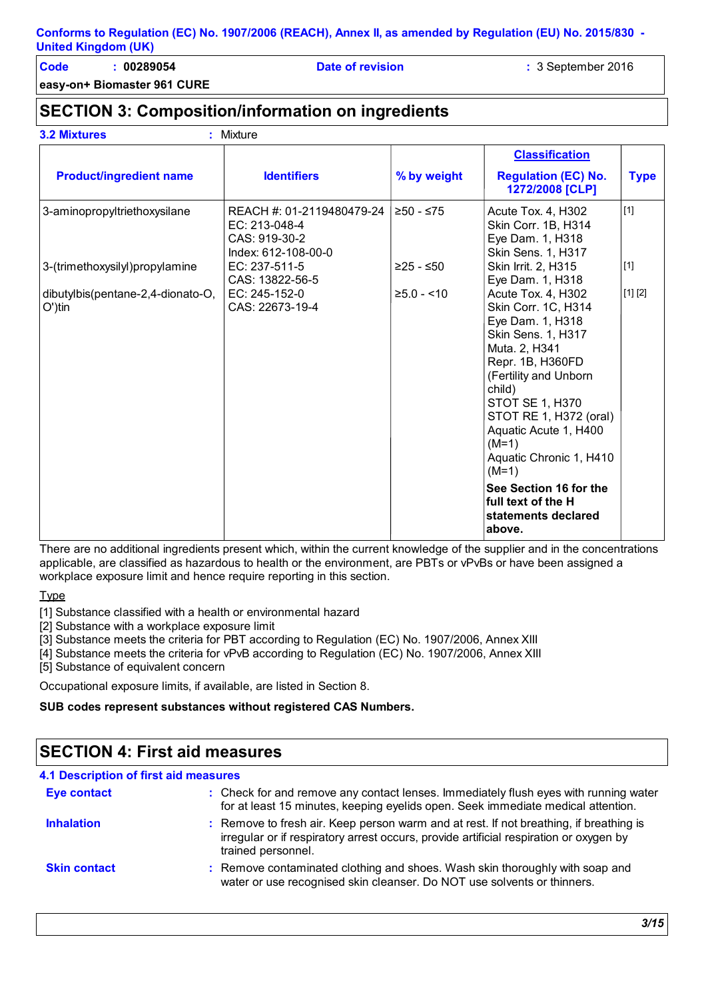**Code : 00289054 Date of revision :** 3 September 2016

**easy-on+ Biomaster 961 CURE**

## **SECTION 3: Composition/information on ingredients**

| <b>3.2 Mixtures</b>                                    | : Mixture                                                                          |               |                                                                                                                                                                                                                                                                                           |             |
|--------------------------------------------------------|------------------------------------------------------------------------------------|---------------|-------------------------------------------------------------------------------------------------------------------------------------------------------------------------------------------------------------------------------------------------------------------------------------------|-------------|
| <b>Product/ingredient name</b>                         | <b>Identifiers</b>                                                                 | % by weight   | <b>Classification</b><br><b>Regulation (EC) No.</b><br>1272/2008 [CLP]                                                                                                                                                                                                                    | <b>Type</b> |
| 3-aminopropyltriethoxysilane                           | REACH #: 01-2119480479-24<br>EC: 213-048-4<br>CAS: 919-30-2<br>Index: 612-108-00-0 | $≥50 - ≤75$   | Acute Tox. 4, H302<br>Skin Corr. 1B, H314<br>Eye Dam. 1, H318<br>Skin Sens. 1, H317                                                                                                                                                                                                       | $[1]$       |
| 3-(trimethoxysilyl)propylamine                         | EC: 237-511-5<br>CAS: 13822-56-5                                                   | $≥25 - ≤50$   | Skin Irrit. 2, H315<br>Eye Dam. 1, H318                                                                                                                                                                                                                                                   | $[1]$       |
| dibutylbis(pentane-2,4-dionato-O,<br>$O^{\prime}$ )tin | EC: 245-152-0<br>CAS: 22673-19-4                                                   | $≥5.0 - < 10$ | Acute Tox. 4, H302<br>Skin Corr. 1C, H314<br>Eye Dam. 1, H318<br>Skin Sens. 1, H317<br>Muta. 2, H341<br>Repr. 1B, H360FD<br>(Fertility and Unborn<br>child)<br><b>STOT SE 1, H370</b><br>STOT RE 1, H372 (oral)<br>Aquatic Acute 1, H400<br>$(M=1)$<br>Aquatic Chronic 1, H410<br>$(M=1)$ | [1] [2]     |
|                                                        |                                                                                    |               | See Section 16 for the<br>full text of the H<br>statements declared<br>above.                                                                                                                                                                                                             |             |

There are no additional ingredients present which, within the current knowledge of the supplier and in the concentrations applicable, are classified as hazardous to health or the environment, are PBTs or vPvBs or have been assigned a workplace exposure limit and hence require reporting in this section.

Type

[1] Substance classified with a health or environmental hazard

[2] Substance with a workplace exposure limit

[3] Substance meets the criteria for PBT according to Regulation (EC) No. 1907/2006, Annex XIII

[4] Substance meets the criteria for vPvB according to Regulation (EC) No. 1907/2006, Annex XIII

[5] Substance of equivalent concern

Occupational exposure limits, if available, are listed in Section 8.

#### **SUB codes represent substances without registered CAS Numbers.**

| <b>SECTION 4: First aid measures</b>  |                                                                                                                                                                                                        |  |  |
|---------------------------------------|--------------------------------------------------------------------------------------------------------------------------------------------------------------------------------------------------------|--|--|
| 4.1 Description of first aid measures |                                                                                                                                                                                                        |  |  |
| <b>Eye contact</b>                    | : Check for and remove any contact lenses. Immediately flush eyes with running water<br>for at least 15 minutes, keeping eyelids open. Seek immediate medical attention.                               |  |  |
| <b>Inhalation</b>                     | : Remove to fresh air. Keep person warm and at rest. If not breathing, if breathing is<br>irregular or if respiratory arrest occurs, provide artificial respiration or oxygen by<br>trained personnel. |  |  |
| <b>Skin contact</b>                   | : Remove contaminated clothing and shoes. Wash skin thoroughly with soap and<br>water or use recognised skin cleanser. Do NOT use solvents or thinners.                                                |  |  |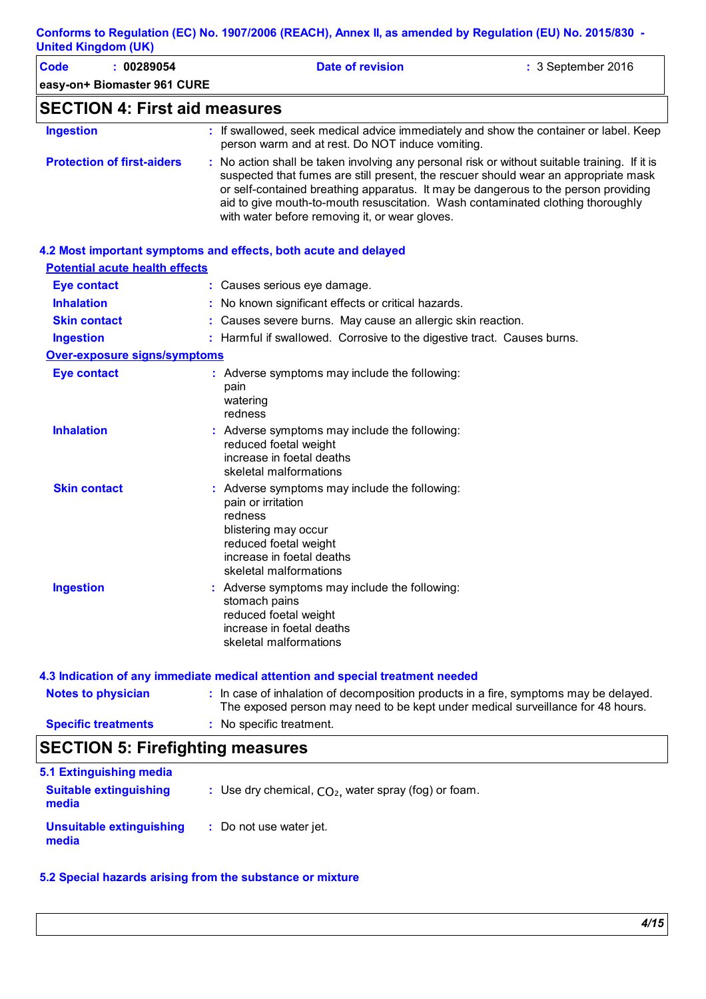|                            | Conforms to Regulation (EC) No. 1907/2006 (REACH), Annex II, as amended by Regulation (EU) No. 2015/830 - |
|----------------------------|-----------------------------------------------------------------------------------------------------------|
| <b>United Kingdom (UK)</b> |                                                                                                           |

| <b>Code</b><br>: 00289054             | <b>Date of revision</b>                                                                                                                                                                                                                                                                                                                                                                                         | : 3 September 2016 |
|---------------------------------------|-----------------------------------------------------------------------------------------------------------------------------------------------------------------------------------------------------------------------------------------------------------------------------------------------------------------------------------------------------------------------------------------------------------------|--------------------|
| easy-on+ Biomaster 961 CURE           |                                                                                                                                                                                                                                                                                                                                                                                                                 |                    |
| <b>SECTION 4: First aid measures</b>  |                                                                                                                                                                                                                                                                                                                                                                                                                 |                    |
| <b>Ingestion</b>                      | : If swallowed, seek medical advice immediately and show the container or label. Keep<br>person warm and at rest. Do NOT induce vomiting.                                                                                                                                                                                                                                                                       |                    |
| <b>Protection of first-aiders</b>     | : No action shall be taken involving any personal risk or without suitable training. If it is<br>suspected that fumes are still present, the rescuer should wear an appropriate mask<br>or self-contained breathing apparatus. It may be dangerous to the person providing<br>aid to give mouth-to-mouth resuscitation. Wash contaminated clothing thoroughly<br>with water before removing it, or wear gloves. |                    |
|                                       | 4.2 Most important symptoms and effects, both acute and delayed                                                                                                                                                                                                                                                                                                                                                 |                    |
| <b>Potential acute health effects</b> |                                                                                                                                                                                                                                                                                                                                                                                                                 |                    |
| <b>Eye contact</b>                    | : Causes serious eye damage.                                                                                                                                                                                                                                                                                                                                                                                    |                    |
| <b>Inhalation</b>                     | : No known significant effects or critical hazards.                                                                                                                                                                                                                                                                                                                                                             |                    |
| <b>Skin contact</b>                   | : Causes severe burns. May cause an allergic skin reaction.                                                                                                                                                                                                                                                                                                                                                     |                    |
| <b>Ingestion</b>                      | : Harmful if swallowed. Corrosive to the digestive tract. Causes burns.                                                                                                                                                                                                                                                                                                                                         |                    |
| <b>Over-exposure signs/symptoms</b>   |                                                                                                                                                                                                                                                                                                                                                                                                                 |                    |
| <b>Eye contact</b>                    | : Adverse symptoms may include the following:<br>pain<br>watering<br>redness                                                                                                                                                                                                                                                                                                                                    |                    |
| <b>Inhalation</b>                     | : Adverse symptoms may include the following:<br>reduced foetal weight<br>increase in foetal deaths<br>skeletal malformations                                                                                                                                                                                                                                                                                   |                    |
| <b>Skin contact</b>                   | : Adverse symptoms may include the following:<br>pain or irritation<br>redness<br>blistering may occur<br>reduced foetal weight<br>increase in foetal deaths<br>skeletal malformations                                                                                                                                                                                                                          |                    |
| <b>Ingestion</b>                      | Adverse symptoms may include the following:<br>stomach pains<br>reduced foetal weight<br>increase in foetal deaths<br>skeletal malformations                                                                                                                                                                                                                                                                    |                    |
|                                       | 4.3 Indication of any immediate medical attention and special treatment needed                                                                                                                                                                                                                                                                                                                                  |                    |
| <b>Notes to physician</b>             | : In case of inhalation of decomposition products in a fire, symptoms may be delayed.<br>The exposed person may need to be kept under medical surveillance for 48 hours.                                                                                                                                                                                                                                        |                    |
| <b>Specific treatments</b>            | : No specific treatment.                                                                                                                                                                                                                                                                                                                                                                                        |                    |

# **SECTION 5: Firefighting measures**

| 5.1 Extinguishing media                |                                                        |
|----------------------------------------|--------------------------------------------------------|
| <b>Suitable extinguishing</b><br>media | : Use dry chemical, $CO2$ , water spray (fog) or foam. |
| Unsuitable extinguishing<br>media      | : Do not use water jet.                                |

### **5.2 Special hazards arising from the substance or mixture**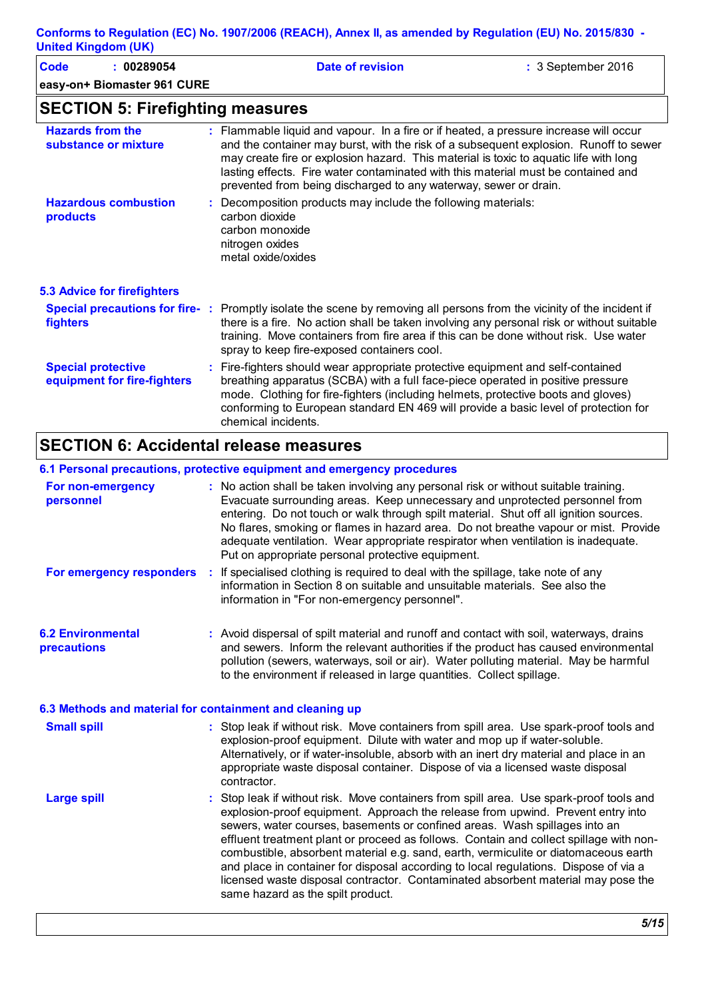| Code<br>: 00289054<br>easy-on+ Biomaster 961 CURE        | <b>Date of revision</b>                                                                                                                                                                                                                                                                                                                                                                                                          | : 3 September 2016 |
|----------------------------------------------------------|----------------------------------------------------------------------------------------------------------------------------------------------------------------------------------------------------------------------------------------------------------------------------------------------------------------------------------------------------------------------------------------------------------------------------------|--------------------|
| <b>SECTION 5: Firefighting measures</b>                  |                                                                                                                                                                                                                                                                                                                                                                                                                                  |                    |
| <b>Hazards from the</b><br>substance or mixture          | : Flammable liquid and vapour. In a fire or if heated, a pressure increase will occur<br>and the container may burst, with the risk of a subsequent explosion. Runoff to sewer<br>may create fire or explosion hazard. This material is toxic to aquatic life with long<br>lasting effects. Fire water contaminated with this material must be contained and<br>prevented from being discharged to any waterway, sewer or drain. |                    |
| <b>Hazardous combustion</b><br>products                  | : Decomposition products may include the following materials:<br>carbon dioxide<br>carbon monoxide<br>nitrogen oxides<br>metal oxide/oxides                                                                                                                                                                                                                                                                                      |                    |
| <b>5.3 Advice for firefighters</b>                       |                                                                                                                                                                                                                                                                                                                                                                                                                                  |                    |
| fighters                                                 | Special precautions for fire-: Promptly isolate the scene by removing all persons from the vicinity of the incident if<br>there is a fire. No action shall be taken involving any personal risk or without suitable<br>training. Move containers from fire area if this can be done without risk. Use water<br>spray to keep fire-exposed containers cool.                                                                       |                    |
| <b>Special protective</b><br>equipment for fire-fighters | : Fire-fighters should wear appropriate protective equipment and self-contained<br>breathing apparatus (SCBA) with a full face-piece operated in positive pressure<br>mode. Clothing for fire-fighters (including helmets, protective boots and gloves)<br>conforming to European standard EN 469 will provide a basic level of protection for<br>chemical incidents.                                                            |                    |

## **SECTION 6: Accidental release measures**

#### **6.1 Personal precautions, protective equipment and emergency procedures**

| For non-emergency<br>personnel                           | : No action shall be taken involving any personal risk or without suitable training.<br>Evacuate surrounding areas. Keep unnecessary and unprotected personnel from<br>entering. Do not touch or walk through spilt material. Shut off all ignition sources.<br>No flares, smoking or flames in hazard area. Do not breathe vapour or mist. Provide<br>adequate ventilation. Wear appropriate respirator when ventilation is inadequate.<br>Put on appropriate personal protective equipment.                                                                                                                                                            |
|----------------------------------------------------------|----------------------------------------------------------------------------------------------------------------------------------------------------------------------------------------------------------------------------------------------------------------------------------------------------------------------------------------------------------------------------------------------------------------------------------------------------------------------------------------------------------------------------------------------------------------------------------------------------------------------------------------------------------|
| For emergency responders                                 | If specialised clothing is required to deal with the spillage, take note of any<br>÷<br>information in Section 8 on suitable and unsuitable materials. See also the<br>information in "For non-emergency personnel".                                                                                                                                                                                                                                                                                                                                                                                                                                     |
| <b>6.2 Environmental</b><br>precautions                  | : Avoid dispersal of spilt material and runoff and contact with soil, waterways, drains<br>and sewers. Inform the relevant authorities if the product has caused environmental<br>pollution (sewers, waterways, soil or air). Water polluting material. May be harmful<br>to the environment if released in large quantities. Collect spillage.                                                                                                                                                                                                                                                                                                          |
| 6.3 Methods and material for containment and cleaning up |                                                                                                                                                                                                                                                                                                                                                                                                                                                                                                                                                                                                                                                          |
| <b>Small spill</b>                                       | : Stop leak if without risk. Move containers from spill area. Use spark-proof tools and<br>explosion-proof equipment. Dilute with water and mop up if water-soluble.<br>Alternatively, or if water-insoluble, absorb with an inert dry material and place in an<br>appropriate waste disposal container. Dispose of via a licensed waste disposal<br>contractor.                                                                                                                                                                                                                                                                                         |
| <b>Large spill</b>                                       | Stop leak if without risk. Move containers from spill area. Use spark-proof tools and<br>explosion-proof equipment. Approach the release from upwind. Prevent entry into<br>sewers, water courses, basements or confined areas. Wash spillages into an<br>effluent treatment plant or proceed as follows. Contain and collect spillage with non-<br>combustible, absorbent material e.g. sand, earth, vermiculite or diatomaceous earth<br>and place in container for disposal according to local regulations. Dispose of via a<br>licensed waste disposal contractor. Contaminated absorbent material may pose the<br>same hazard as the spilt product. |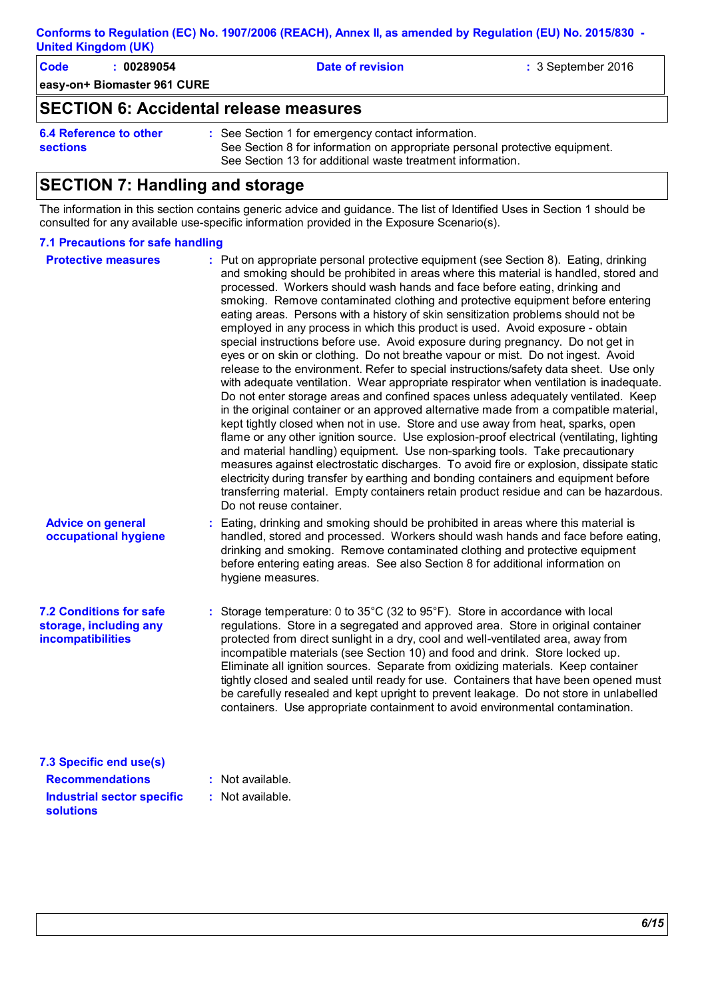**easy-on+ Biomaster 961 CURE Code : 00289054 Date of revision :** 3 September 2016 **SECTION 6: Accidental release measures**

**6.4 Reference to other sections** See Section 1 for emergency contact information. **:** See Section 8 for information on appropriate personal protective equipment. See Section 13 for additional waste treatment information.

## **SECTION 7: Handling and storage**

The information in this section contains generic advice and guidance. The list of Identified Uses in Section 1 should be consulted for any available use-specific information provided in the Exposure Scenario(s).

#### **7.1 Precautions for safe handling**

| <b>Protective measures</b>                                                           | : Put on appropriate personal protective equipment (see Section 8). Eating, drinking<br>and smoking should be prohibited in areas where this material is handled, stored and<br>processed. Workers should wash hands and face before eating, drinking and<br>smoking. Remove contaminated clothing and protective equipment before entering<br>eating areas. Persons with a history of skin sensitization problems should not be<br>employed in any process in which this product is used. Avoid exposure - obtain<br>special instructions before use. Avoid exposure during pregnancy. Do not get in<br>eyes or on skin or clothing. Do not breathe vapour or mist. Do not ingest. Avoid<br>release to the environment. Refer to special instructions/safety data sheet. Use only<br>with adequate ventilation. Wear appropriate respirator when ventilation is inadequate.<br>Do not enter storage areas and confined spaces unless adequately ventilated. Keep<br>in the original container or an approved alternative made from a compatible material,<br>kept tightly closed when not in use. Store and use away from heat, sparks, open<br>flame or any other ignition source. Use explosion-proof electrical (ventilating, lighting<br>and material handling) equipment. Use non-sparking tools. Take precautionary<br>measures against electrostatic discharges. To avoid fire or explosion, dissipate static<br>electricity during transfer by earthing and bonding containers and equipment before<br>transferring material. Empty containers retain product residue and can be hazardous.<br>Do not reuse container. |  |
|--------------------------------------------------------------------------------------|---------------------------------------------------------------------------------------------------------------------------------------------------------------------------------------------------------------------------------------------------------------------------------------------------------------------------------------------------------------------------------------------------------------------------------------------------------------------------------------------------------------------------------------------------------------------------------------------------------------------------------------------------------------------------------------------------------------------------------------------------------------------------------------------------------------------------------------------------------------------------------------------------------------------------------------------------------------------------------------------------------------------------------------------------------------------------------------------------------------------------------------------------------------------------------------------------------------------------------------------------------------------------------------------------------------------------------------------------------------------------------------------------------------------------------------------------------------------------------------------------------------------------------------------------------------------------------------------------------------------------------|--|
| <b>Advice on general</b><br>occupational hygiene                                     | : Eating, drinking and smoking should be prohibited in areas where this material is<br>handled, stored and processed. Workers should wash hands and face before eating,<br>drinking and smoking. Remove contaminated clothing and protective equipment<br>before entering eating areas. See also Section 8 for additional information on<br>hygiene measures.                                                                                                                                                                                                                                                                                                                                                                                                                                                                                                                                                                                                                                                                                                                                                                                                                                                                                                                                                                                                                                                                                                                                                                                                                                                                   |  |
| <b>7.2 Conditions for safe</b><br>storage, including any<br><b>incompatibilities</b> | : Storage temperature: 0 to 35°C (32 to 95°F). Store in accordance with local<br>regulations. Store in a segregated and approved area. Store in original container<br>protected from direct sunlight in a dry, cool and well-ventilated area, away from<br>incompatible materials (see Section 10) and food and drink. Store locked up.<br>Eliminate all ignition sources. Separate from oxidizing materials. Keep container<br>tightly closed and sealed until ready for use. Containers that have been opened must<br>be carefully resealed and kept upright to prevent leakage. Do not store in unlabelled<br>containers. Use appropriate containment to avoid environmental contamination.                                                                                                                                                                                                                                                                                                                                                                                                                                                                                                                                                                                                                                                                                                                                                                                                                                                                                                                                  |  |
| 7.3 Specific end use(s)<br><b>Recommendations</b>                                    | : Not available.                                                                                                                                                                                                                                                                                                                                                                                                                                                                                                                                                                                                                                                                                                                                                                                                                                                                                                                                                                                                                                                                                                                                                                                                                                                                                                                                                                                                                                                                                                                                                                                                                |  |
| <b>Industrial sector specific</b>                                                    | : Not available.                                                                                                                                                                                                                                                                                                                                                                                                                                                                                                                                                                                                                                                                                                                                                                                                                                                                                                                                                                                                                                                                                                                                                                                                                                                                                                                                                                                                                                                                                                                                                                                                                |  |
| <b>solutions</b>                                                                     |                                                                                                                                                                                                                                                                                                                                                                                                                                                                                                                                                                                                                                                                                                                                                                                                                                                                                                                                                                                                                                                                                                                                                                                                                                                                                                                                                                                                                                                                                                                                                                                                                                 |  |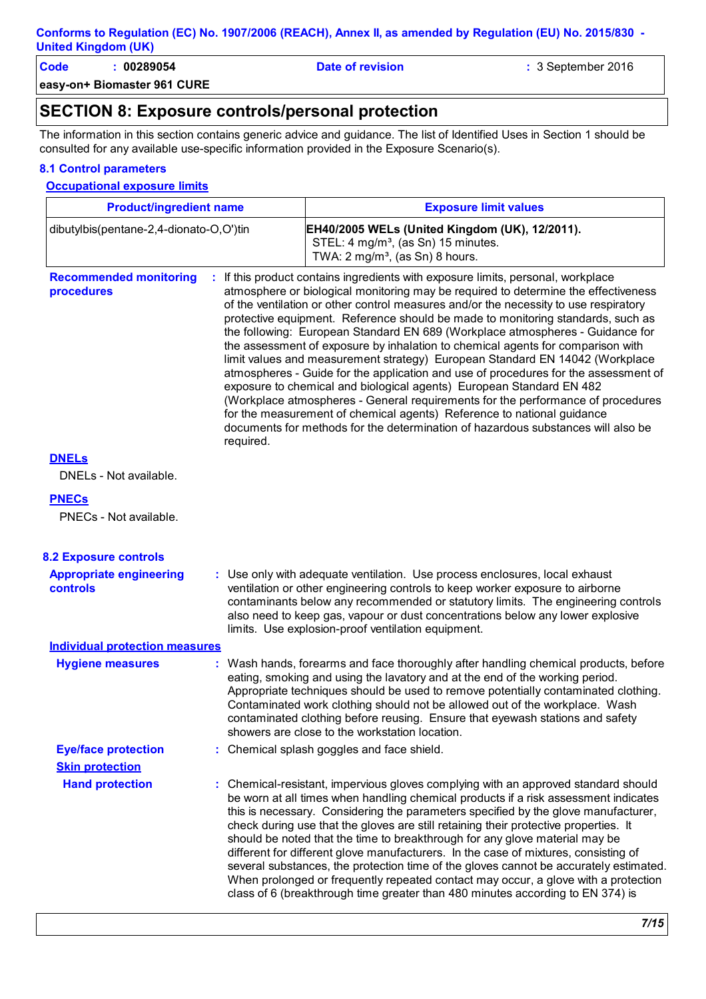**Code : 00289054 Date of revision :** 3 September 2016

**easy-on+ Biomaster 961 CURE**

### **SECTION 8: Exposure controls/personal protection**

The information in this section contains generic advice and guidance. The list of Identified Uses in Section 1 should be consulted for any available use-specific information provided in the Exposure Scenario(s).

#### **8.1 Control parameters**

#### **Occupational exposure limits**

| <b>Product/ingredient name</b>              |                                                                                                                                                                                                                                                                                                                                                                                                                                                                                                                                                                                                                                                                                                                                                                                                                                                                                                                                                                                                                                  | <b>Exposure limit values</b>                                                                                                                                                                                                                                                                                                                                                                                                                                                                                                                                                                                                                                                                                                                                                                   |  |
|---------------------------------------------|----------------------------------------------------------------------------------------------------------------------------------------------------------------------------------------------------------------------------------------------------------------------------------------------------------------------------------------------------------------------------------------------------------------------------------------------------------------------------------------------------------------------------------------------------------------------------------------------------------------------------------------------------------------------------------------------------------------------------------------------------------------------------------------------------------------------------------------------------------------------------------------------------------------------------------------------------------------------------------------------------------------------------------|------------------------------------------------------------------------------------------------------------------------------------------------------------------------------------------------------------------------------------------------------------------------------------------------------------------------------------------------------------------------------------------------------------------------------------------------------------------------------------------------------------------------------------------------------------------------------------------------------------------------------------------------------------------------------------------------------------------------------------------------------------------------------------------------|--|
| dibutylbis(pentane-2,4-dionato-O,O')tin     |                                                                                                                                                                                                                                                                                                                                                                                                                                                                                                                                                                                                                                                                                                                                                                                                                                                                                                                                                                                                                                  | EH40/2005 WELs (United Kingdom (UK), 12/2011).<br>STEL: 4 mg/m <sup>3</sup> , (as Sn) 15 minutes.<br>TWA: 2 mg/m <sup>3</sup> , (as Sn) 8 hours.                                                                                                                                                                                                                                                                                                                                                                                                                                                                                                                                                                                                                                               |  |
| <b>Recommended monitoring</b><br>procedures | If this product contains ingredients with exposure limits, personal, workplace<br>atmosphere or biological monitoring may be required to determine the effectiveness<br>of the ventilation or other control measures and/or the necessity to use respiratory<br>protective equipment. Reference should be made to monitoring standards, such as<br>the following: European Standard EN 689 (Workplace atmospheres - Guidance for<br>the assessment of exposure by inhalation to chemical agents for comparison with<br>limit values and measurement strategy) European Standard EN 14042 (Workplace<br>atmospheres - Guide for the application and use of procedures for the assessment of<br>exposure to chemical and biological agents) European Standard EN 482<br>(Workplace atmospheres - General requirements for the performance of procedures<br>for the measurement of chemical agents) Reference to national guidance<br>documents for methods for the determination of hazardous substances will also be<br>required. |                                                                                                                                                                                                                                                                                                                                                                                                                                                                                                                                                                                                                                                                                                                                                                                                |  |
| <b>DNELs</b><br>DNELs - Not available.      |                                                                                                                                                                                                                                                                                                                                                                                                                                                                                                                                                                                                                                                                                                                                                                                                                                                                                                                                                                                                                                  |                                                                                                                                                                                                                                                                                                                                                                                                                                                                                                                                                                                                                                                                                                                                                                                                |  |
| <b>PNECs</b><br>PNECs - Not available.      |                                                                                                                                                                                                                                                                                                                                                                                                                                                                                                                                                                                                                                                                                                                                                                                                                                                                                                                                                                                                                                  |                                                                                                                                                                                                                                                                                                                                                                                                                                                                                                                                                                                                                                                                                                                                                                                                |  |
| <b>8.2 Exposure controls</b>                |                                                                                                                                                                                                                                                                                                                                                                                                                                                                                                                                                                                                                                                                                                                                                                                                                                                                                                                                                                                                                                  |                                                                                                                                                                                                                                                                                                                                                                                                                                                                                                                                                                                                                                                                                                                                                                                                |  |
| <b>Appropriate engineering</b><br>controls  |                                                                                                                                                                                                                                                                                                                                                                                                                                                                                                                                                                                                                                                                                                                                                                                                                                                                                                                                                                                                                                  | : Use only with adequate ventilation. Use process enclosures, local exhaust<br>ventilation or other engineering controls to keep worker exposure to airborne<br>contaminants below any recommended or statutory limits. The engineering controls<br>also need to keep gas, vapour or dust concentrations below any lower explosive<br>limits. Use explosion-proof ventilation equipment.                                                                                                                                                                                                                                                                                                                                                                                                       |  |
| <b>Individual protection measures</b>       |                                                                                                                                                                                                                                                                                                                                                                                                                                                                                                                                                                                                                                                                                                                                                                                                                                                                                                                                                                                                                                  |                                                                                                                                                                                                                                                                                                                                                                                                                                                                                                                                                                                                                                                                                                                                                                                                |  |
| <b>Hygiene measures</b>                     | : Wash hands, forearms and face thoroughly after handling chemical products, before<br>eating, smoking and using the lavatory and at the end of the working period.<br>Appropriate techniques should be used to remove potentially contaminated clothing.<br>Contaminated work clothing should not be allowed out of the workplace. Wash<br>contaminated clothing before reusing. Ensure that eyewash stations and safety<br>showers are close to the workstation location.                                                                                                                                                                                                                                                                                                                                                                                                                                                                                                                                                      |                                                                                                                                                                                                                                                                                                                                                                                                                                                                                                                                                                                                                                                                                                                                                                                                |  |
| <b>Eye/face protection</b>                  |                                                                                                                                                                                                                                                                                                                                                                                                                                                                                                                                                                                                                                                                                                                                                                                                                                                                                                                                                                                                                                  | : Chemical splash goggles and face shield.                                                                                                                                                                                                                                                                                                                                                                                                                                                                                                                                                                                                                                                                                                                                                     |  |
| <b>Skin protection</b>                      |                                                                                                                                                                                                                                                                                                                                                                                                                                                                                                                                                                                                                                                                                                                                                                                                                                                                                                                                                                                                                                  |                                                                                                                                                                                                                                                                                                                                                                                                                                                                                                                                                                                                                                                                                                                                                                                                |  |
| <b>Hand protection</b>                      |                                                                                                                                                                                                                                                                                                                                                                                                                                                                                                                                                                                                                                                                                                                                                                                                                                                                                                                                                                                                                                  | : Chemical-resistant, impervious gloves complying with an approved standard should<br>be worn at all times when handling chemical products if a risk assessment indicates<br>this is necessary. Considering the parameters specified by the glove manufacturer,<br>check during use that the gloves are still retaining their protective properties. It<br>should be noted that the time to breakthrough for any glove material may be<br>different for different glove manufacturers. In the case of mixtures, consisting of<br>several substances, the protection time of the gloves cannot be accurately estimated.<br>When prolonged or frequently repeated contact may occur, a glove with a protection<br>class of 6 (breakthrough time greater than 480 minutes according to EN 374) is |  |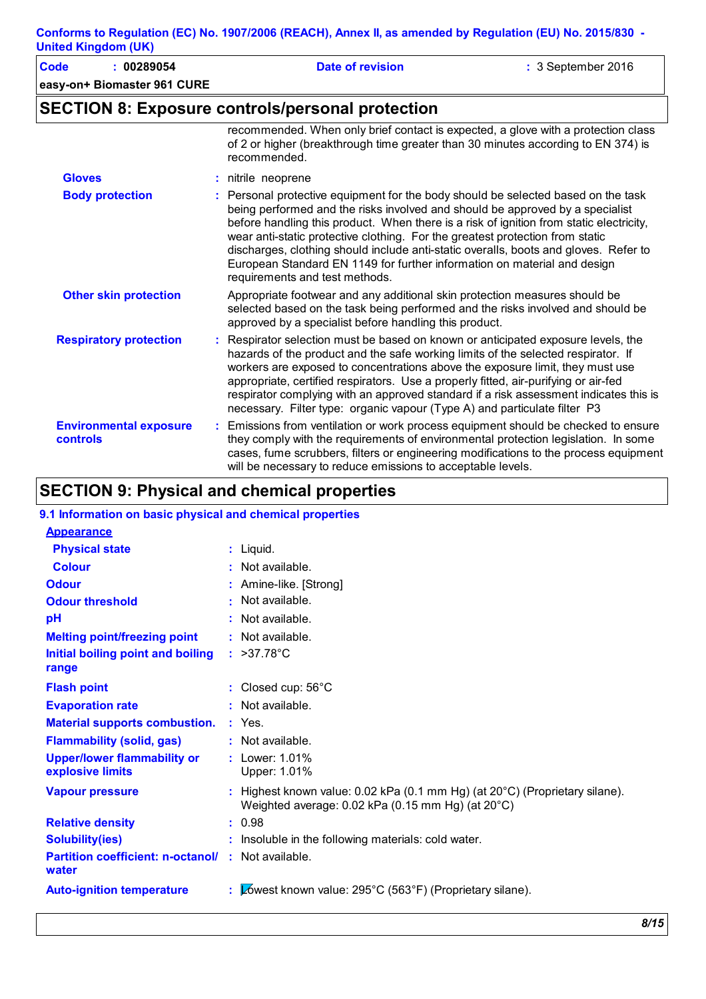| Code<br>: 00289054                        |   | <b>Date of revision</b>                                                                                                                                                                                                                                                                                                                                                                                                                                                                                                                              | : 3 September 2016 |
|-------------------------------------------|---|------------------------------------------------------------------------------------------------------------------------------------------------------------------------------------------------------------------------------------------------------------------------------------------------------------------------------------------------------------------------------------------------------------------------------------------------------------------------------------------------------------------------------------------------------|--------------------|
| easy-on+ Biomaster 961 CURE               |   |                                                                                                                                                                                                                                                                                                                                                                                                                                                                                                                                                      |                    |
|                                           |   | <b>SECTION 8: Exposure controls/personal protection</b>                                                                                                                                                                                                                                                                                                                                                                                                                                                                                              |                    |
|                                           |   | recommended. When only brief contact is expected, a glove with a protection class<br>of 2 or higher (breakthrough time greater than 30 minutes according to EN 374) is<br>recommended.                                                                                                                                                                                                                                                                                                                                                               |                    |
| <b>Gloves</b>                             | ÷ | nitrile neoprene                                                                                                                                                                                                                                                                                                                                                                                                                                                                                                                                     |                    |
| <b>Body protection</b>                    |   | : Personal protective equipment for the body should be selected based on the task<br>being performed and the risks involved and should be approved by a specialist<br>before handling this product. When there is a risk of ignition from static electricity,<br>wear anti-static protective clothing. For the greatest protection from static<br>discharges, clothing should include anti-static overalls, boots and gloves. Refer to<br>European Standard EN 1149 for further information on material and design<br>requirements and test methods. |                    |
| <b>Other skin protection</b>              |   | Appropriate footwear and any additional skin protection measures should be<br>selected based on the task being performed and the risks involved and should be<br>approved by a specialist before handling this product.                                                                                                                                                                                                                                                                                                                              |                    |
| <b>Respiratory protection</b>             |   | Respirator selection must be based on known or anticipated exposure levels, the<br>hazards of the product and the safe working limits of the selected respirator. If<br>workers are exposed to concentrations above the exposure limit, they must use<br>appropriate, certified respirators. Use a properly fitted, air-purifying or air-fed<br>respirator complying with an approved standard if a risk assessment indicates this is<br>necessary. Filter type: organic vapour (Type A) and particulate filter P3                                   |                    |
| <b>Environmental exposure</b><br>controls |   | Emissions from ventilation or work process equipment should be checked to ensure<br>they comply with the requirements of environmental protection legislation. In some                                                                                                                                                                                                                                                                                                                                                                               |                    |

cases, fume scrubbers, filters or engineering modifications to the process equipment

will be necessary to reduce emissions to acceptable levels.

## **SECTION 9: Physical and chemical properties**

| 9.1 Information on basic physical and chemical properties          |                                                                                                                                              |
|--------------------------------------------------------------------|----------------------------------------------------------------------------------------------------------------------------------------------|
| <b>Appearance</b>                                                  |                                                                                                                                              |
| <b>Physical state</b>                                              | : Liquid.                                                                                                                                    |
| <b>Colour</b>                                                      | $:$ Not available.                                                                                                                           |
| <b>Odour</b>                                                       | : Amine-like. [Strong]                                                                                                                       |
| <b>Odour threshold</b>                                             | : Not available.                                                                                                                             |
| pH                                                                 | $:$ Not available.                                                                                                                           |
| <b>Melting point/freezing point</b>                                | $:$ Not available.                                                                                                                           |
| Initial boiling point and boiling<br>range                         | : $>37.78^{\circ}$ C                                                                                                                         |
| <b>Flash point</b>                                                 | : Closed cup: 56°C                                                                                                                           |
| <b>Evaporation rate</b>                                            | $:$ Not available.                                                                                                                           |
| <b>Material supports combustion.</b>                               | $:$ Yes.                                                                                                                                     |
| <b>Flammability (solid, gas)</b>                                   | : Not available.                                                                                                                             |
| <b>Upper/lower flammability or</b><br>explosive limits             | : Lower: 1.01%<br>Upper: 1.01%                                                                                                               |
| <b>Vapour pressure</b>                                             | : Highest known value: $0.02$ kPa (0.1 mm Hg) (at $20^{\circ}$ C) (Proprietary silane).<br>Weighted average: 0.02 kPa (0.15 mm Hg) (at 20°C) |
| <b>Relative density</b>                                            | : 0.98                                                                                                                                       |
| <b>Solubility(ies)</b>                                             | : Insoluble in the following materials: cold water.                                                                                          |
| <b>Partition coefficient: n-octanol/ : Not available.</b><br>water |                                                                                                                                              |
| <b>Auto-ignition temperature</b>                                   | : $\mathbb{Z}$ ówest known value: 295°C (563°F) (Proprietary silane).                                                                        |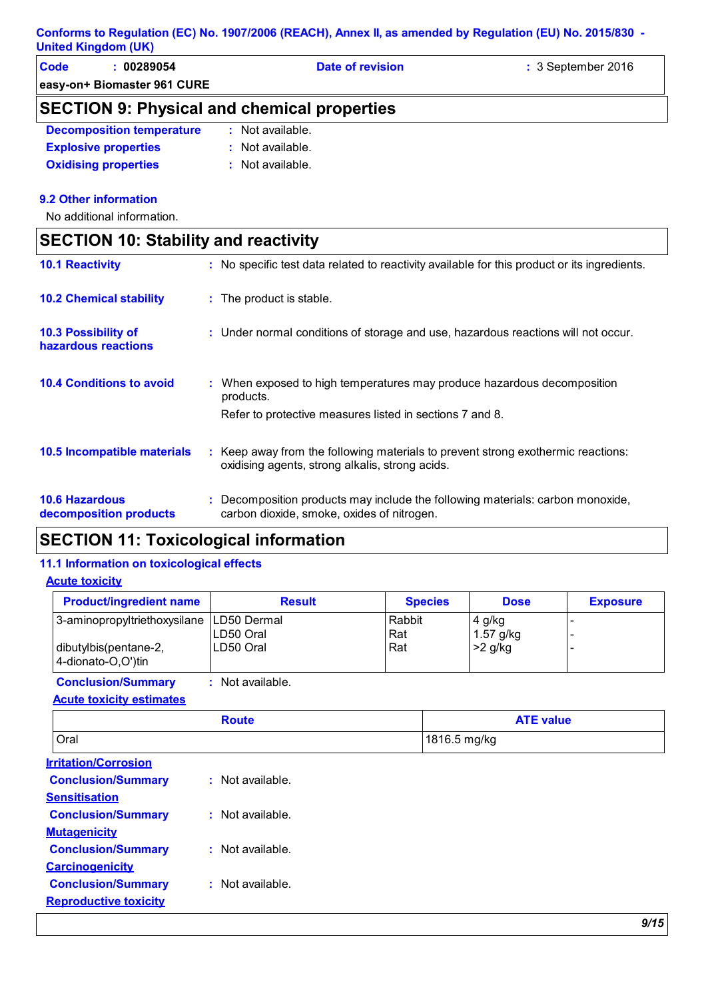| <b>Code</b><br>00289054                            | Date of revision | $\therefore$ 3 September 2016 |  |  |
|----------------------------------------------------|------------------|-------------------------------|--|--|
| easy-on+ Biomaster 961 CURE                        |                  |                               |  |  |
| <b>SECTION 9: Physical and chemical properties</b> |                  |                               |  |  |

| <b>Decomposition temperature</b>                                                                                       | : Not available. |
|------------------------------------------------------------------------------------------------------------------------|------------------|
| <b>Explosive properties</b>                                                                                            | : Not available. |
| <b>A STATISTICS</b> In the contract of the contract of the contract of the contract of the contract of the contract of |                  |

**Oxidising properties :** Not available.

#### **9.2 Other information**

No additional information.

| <b>SECTION 10: Stability and reactivity</b>       |                                                                                                                                     |
|---------------------------------------------------|-------------------------------------------------------------------------------------------------------------------------------------|
| <b>10.1 Reactivity</b>                            | : No specific test data related to reactivity available for this product or its ingredients.                                        |
| <b>10.2 Chemical stability</b>                    | : The product is stable.                                                                                                            |
| <b>10.3 Possibility of</b><br>hazardous reactions | : Under normal conditions of storage and use, hazardous reactions will not occur.                                                   |
| <b>10.4 Conditions to avoid</b>                   | : When exposed to high temperatures may produce hazardous decomposition<br>products.                                                |
|                                                   | Refer to protective measures listed in sections 7 and 8.                                                                            |
| 10.5 Incompatible materials                       | : Keep away from the following materials to prevent strong exothermic reactions:<br>oxidising agents, strong alkalis, strong acids. |
| <b>10.6 Hazardous</b><br>decomposition products   | Decomposition products may include the following materials: carbon monoxide,<br>carbon dioxide, smoke, oxides of nitrogen.          |

## **SECTION 11: Toxicological information**

#### **11.1 Information on toxicological effects**

**Acute toxicity**

| <b>Product/ingredient name</b>                                                            | <b>Result</b>           | <b>Species</b>       | <b>Dose</b>                        | <b>Exposure</b> |
|-------------------------------------------------------------------------------------------|-------------------------|----------------------|------------------------------------|-----------------|
| 3-aminopropyltriethoxysilane   LD50 Dermal<br>dibutylbis(pentane-2,<br>4-dionato-O,O')tin | LD50 Oral<br>ILD50 Oral | Rabbit<br>Rat<br>Rat | 4 g/kg<br>1.57 $g/kg$<br>$>2$ g/kg |                 |

**Conclusion/Summary :** Not available.

|  | <b>Acute toxicity estimates</b> |  |
|--|---------------------------------|--|
|  |                                 |  |

| <b>Route</b> | <b>ATE value</b> |
|--------------|------------------|
| <b>Oral</b>  | 1816.5 mg/kg     |

| <b>Irritation/Corrosion</b>  |                    |
|------------------------------|--------------------|
| <b>Conclusion/Summary</b>    | $:$ Not available. |
| <b>Sensitisation</b>         |                    |
| <b>Conclusion/Summary</b>    | $:$ Not available. |
| <b>Mutagenicity</b>          |                    |
| <b>Conclusion/Summary</b>    | : Not available.   |
| <b>Carcinogenicity</b>       |                    |
| <b>Conclusion/Summary</b>    | : Not available.   |
| <b>Reproductive toxicity</b> |                    |
|                              |                    |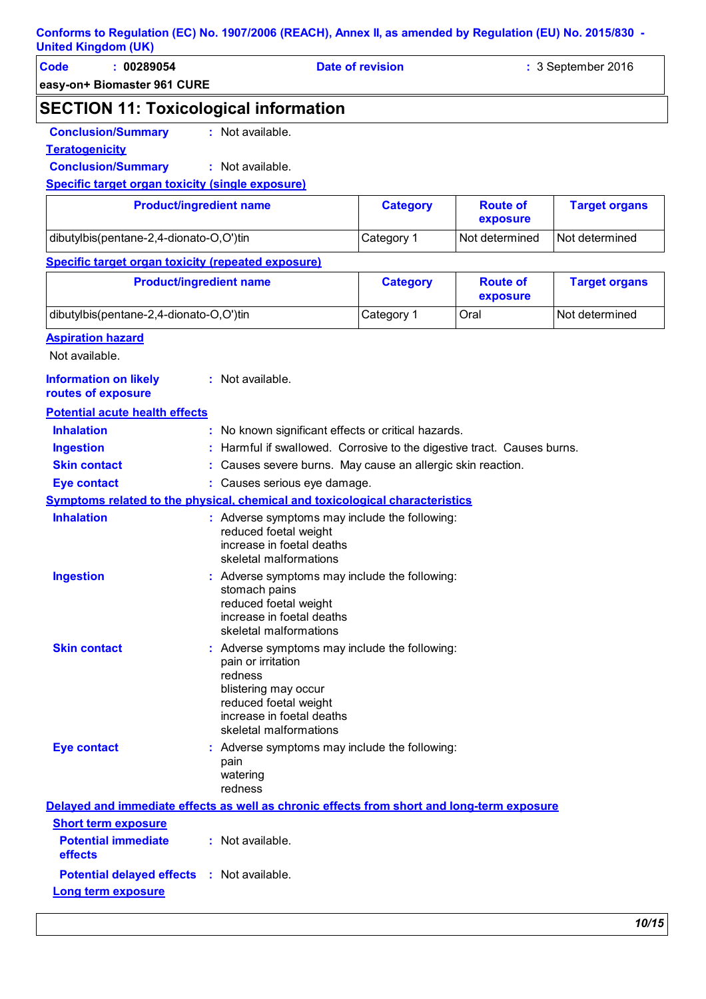| <b>Code</b><br>: 00289054                                 |                                | <b>Date of revision</b>                                               | : 3 September 2016          |                      |  |
|-----------------------------------------------------------|--------------------------------|-----------------------------------------------------------------------|-----------------------------|----------------------|--|
| easy-on+ Biomaster 961 CURE                               |                                |                                                                       |                             |                      |  |
| <b>SECTION 11: Toxicological information</b>              |                                |                                                                       |                             |                      |  |
| <b>Conclusion/Summary</b>                                 | : Not available.               |                                                                       |                             |                      |  |
| <b>Teratogenicity</b>                                     |                                |                                                                       |                             |                      |  |
| <b>Conclusion/Summary</b>                                 | : Not available.               |                                                                       |                             |                      |  |
| Specific target organ toxicity (single exposure)          |                                |                                                                       |                             |                      |  |
|                                                           | <b>Product/ingredient name</b> | <b>Category</b>                                                       | <b>Route of</b><br>exposure | <b>Target organs</b> |  |
| dibutylbis(pentane-2,4-dionato-O,O')tin                   |                                | Category 1                                                            | Not determined              | Not determined       |  |
| <b>Specific target organ toxicity (repeated exposure)</b> |                                |                                                                       |                             |                      |  |
| <b>Product/ingredient name</b>                            |                                | <b>Category</b>                                                       | <b>Route of</b><br>exposure | <b>Target organs</b> |  |
| dibutylbis(pentane-2,4-dionato-O,O')tin                   |                                | Category 1                                                            | Oral                        | Not determined       |  |
| <b>Aspiration hazard</b>                                  |                                |                                                                       |                             |                      |  |
| Not available.                                            |                                |                                                                       |                             |                      |  |
| <b>Information on likely</b><br>routes of exposure        | : Not available.               |                                                                       |                             |                      |  |
| <b>Potential acute health effects</b>                     |                                |                                                                       |                             |                      |  |
| <b>Inhalation</b>                                         |                                | : No known significant effects or critical hazards.                   |                             |                      |  |
| <b>Ingestion</b>                                          |                                | Harmful if swallowed. Corrosive to the digestive tract. Causes burns. |                             |                      |  |
| <b>Skin contact</b>                                       |                                | Causes severe burns. May cause an allergic skin reaction.             |                             |                      |  |

- **Eye contact :** Causes serious eye damage.
- **Symptoms related to the physical, chemical and toxicological characteristics Skin contact Ingestion Inhalation Conservent Conservent Conservent Conservent Conservent Conservent Conservent Conservent Conservent Conservent Conservent Conservent Conservent Conservent Conservent Conservent Conservent Conservent Conservent** reduced foetal weight increase in foetal deaths skeletal malformations Adverse symptoms may include the following: **:** stomach pains reduced foetal weight increase in foetal deaths skeletal malformations Adverse symptoms may include the following: **:** pain or irritation redness blistering may occur reduced foetal weight increase in foetal deaths skeletal malformations **Eye contact :** Adverse symptoms may include the following: pain watering

|                                                        | redness                                                                                    |  |
|--------------------------------------------------------|--------------------------------------------------------------------------------------------|--|
|                                                        | Delayed and immediate effects as well as chronic effects from short and long-term exposure |  |
| <b>Short term exposure</b>                             |                                                                                            |  |
| <b>Potential immediate : Not available.</b><br>effects |                                                                                            |  |
| <b>Potential delayed effects : Not available.</b>      |                                                                                            |  |
| Long term exposure                                     |                                                                                            |  |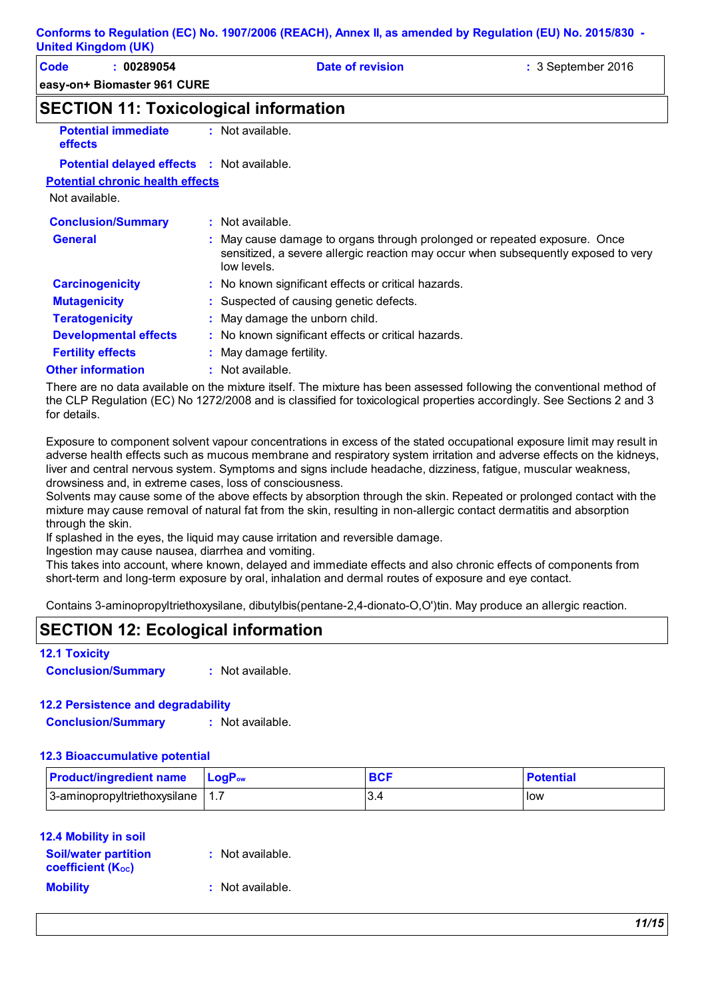| <b>United Kingdom (UK)</b>                        |                                                                                                                                                                                |                    |
|---------------------------------------------------|--------------------------------------------------------------------------------------------------------------------------------------------------------------------------------|--------------------|
| Code<br>: 00289054<br>easy-on+ Biomaster 961 CURE | <b>Date of revision</b>                                                                                                                                                        | : 3 September 2016 |
| <b>SECTION 11: Toxicological information</b>      |                                                                                                                                                                                |                    |
| <b>Potential immediate</b><br><b>effects</b>      | : Not available.                                                                                                                                                               |                    |
| <b>Potential delayed effects : Not available.</b> |                                                                                                                                                                                |                    |
| <b>Potential chronic health effects</b>           |                                                                                                                                                                                |                    |
| Not available.                                    |                                                                                                                                                                                |                    |
| <b>Conclusion/Summary</b>                         | : Not available.                                                                                                                                                               |                    |
| <b>General</b>                                    | : May cause damage to organs through prolonged or repeated exposure. Once<br>sensitized, a severe allergic reaction may occur when subsequently exposed to very<br>low levels. |                    |
| <b>Carcinogenicity</b>                            | : No known significant effects or critical hazards.                                                                                                                            |                    |
| <b>Mutagenicity</b>                               | : Suspected of causing genetic defects.                                                                                                                                        |                    |
| <b>Teratogenicity</b>                             | : May damage the unborn child.                                                                                                                                                 |                    |
| <b>Developmental effects</b>                      | : No known significant effects or critical hazards.                                                                                                                            |                    |
|                                                   |                                                                                                                                                                                |                    |

**Fertility effects :** May damage fertility.

**Other information :** : Not available.

There are no data available on the mixture itself. The mixture has been assessed following the conventional method of the CLP Regulation (EC) No 1272/2008 and is classified for toxicological properties accordingly. See Sections 2 and 3 for details.

Exposure to component solvent vapour concentrations in excess of the stated occupational exposure limit may result in adverse health effects such as mucous membrane and respiratory system irritation and adverse effects on the kidneys, liver and central nervous system. Symptoms and signs include headache, dizziness, fatigue, muscular weakness, drowsiness and, in extreme cases, loss of consciousness.

Solvents may cause some of the above effects by absorption through the skin. Repeated or prolonged contact with the mixture may cause removal of natural fat from the skin, resulting in non-allergic contact dermatitis and absorption through the skin.

If splashed in the eyes, the liquid may cause irritation and reversible damage.

Ingestion may cause nausea, diarrhea and vomiting.

This takes into account, where known, delayed and immediate effects and also chronic effects of components from short-term and long-term exposure by oral, inhalation and dermal routes of exposure and eye contact.

Contains 3-aminopropyltriethoxysilane, dibutylbis(pentane-2,4-dionato-O,O')tin. May produce an allergic reaction.

## **SECTION 12: Ecological information**

#### **12.1 Toxicity**

**Conclusion/Summary :** Not available.

#### **12.2 Persistence and degradability**

**Conclusion/Summary :** Not available.

#### **12.3 Bioaccumulative potential**

| <b>Product/ingredient name</b>     | $\mathsf{LocP}_\mathsf{ow}$ | <b>BCF</b> | <b>Potential</b> |
|------------------------------------|-----------------------------|------------|------------------|
| 3-aminopropyltriethoxysilane   1.7 |                             |            | How              |

| <b>12.4 Mobility in soil</b>                          |                  |
|-------------------------------------------------------|------------------|
| <b>Soil/water partition</b><br>coefficient $(K_{oc})$ | : Not available. |

| $\sim$<br>w |  |
|-------------|--|

**:** Not available.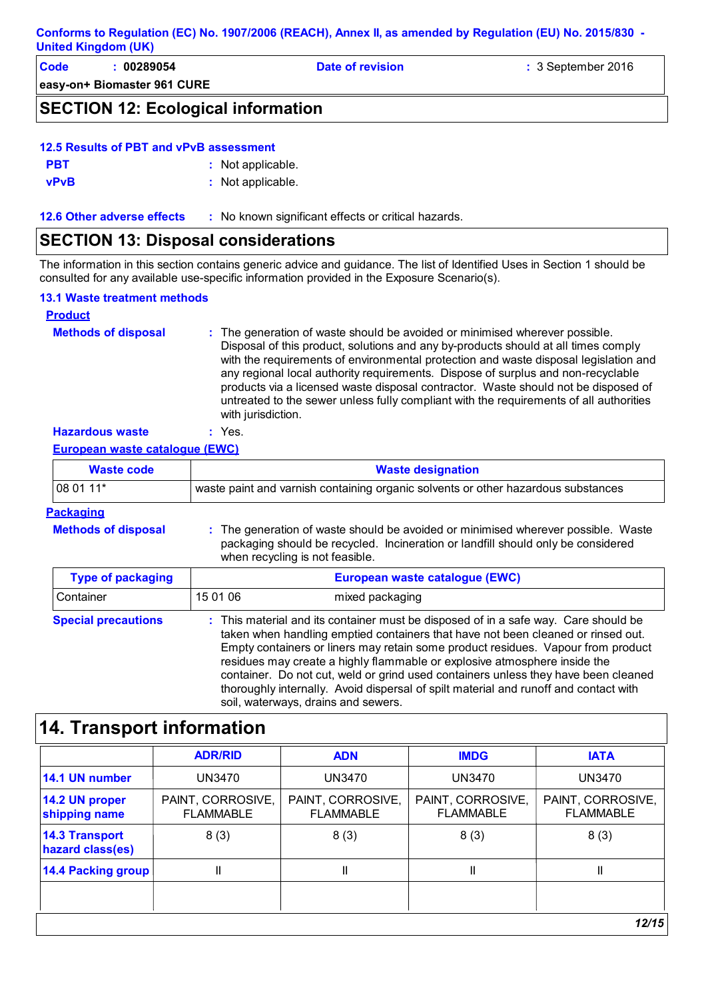| <b>Code</b> | : 00289054                                | Date of revision | $\therefore$ 3 September 2016 |
|-------------|-------------------------------------------|------------------|-------------------------------|
|             | easy-on+ Biomaster 961 CURE               |                  |                               |
|             | <b>SECTION 12: Ecological information</b> |                  |                               |

| 12.5 Results of PBT and vPvB assessment |  |
|-----------------------------------------|--|

| <b>PBT</b>  | : Not applicable. |
|-------------|-------------------|
| <b>vPvB</b> | : Not applicable. |

**12.6 Other adverse effects** : No known significant effects or critical hazards.

## **SECTION 13: Disposal considerations**

The information in this section contains generic advice and guidance. The list of Identified Uses in Section 1 should be consulted for any available use-specific information provided in the Exposure Scenario(s).

### **13.1 Waste treatment methods**

| <b>Product</b>             |                                                                                                                                                                                                                                                                                                                                                                                                                                                                                                                                                     |
|----------------------------|-----------------------------------------------------------------------------------------------------------------------------------------------------------------------------------------------------------------------------------------------------------------------------------------------------------------------------------------------------------------------------------------------------------------------------------------------------------------------------------------------------------------------------------------------------|
| <b>Methods of disposal</b> | : The generation of waste should be avoided or minimised wherever possible.<br>Disposal of this product, solutions and any by-products should at all times comply<br>with the requirements of environmental protection and waste disposal legislation and<br>any regional local authority requirements. Dispose of surplus and non-recyclable<br>products via a licensed waste disposal contractor. Waste should not be disposed of<br>untreated to the sewer unless fully compliant with the requirements of all authorities<br>with jurisdiction. |
| <b>Hazardous waste</b>     | : Yes.                                                                                                                                                                                                                                                                                                                                                                                                                                                                                                                                              |

### **European waste catalogue (EWC)**

| Waste code | <b>Waste designation</b>                                                          |
|------------|-----------------------------------------------------------------------------------|
| $1080111*$ | waste paint and varnish containing organic solvents or other hazardous substances |

#### **Packaging**

**Methods of disposal :**

The generation of waste should be avoided or minimised wherever possible. Waste packaging should be recycled. Incineration or landfill should only be considered when recycling is not feasible.

| <b>Type of packaging</b>   | European waste catalogue (EWC)                                                                                                                                                                                                                                                                                                                                                                                                                                                                                                                                |  |  |
|----------------------------|---------------------------------------------------------------------------------------------------------------------------------------------------------------------------------------------------------------------------------------------------------------------------------------------------------------------------------------------------------------------------------------------------------------------------------------------------------------------------------------------------------------------------------------------------------------|--|--|
| Container                  | 15 01 06<br>mixed packaging                                                                                                                                                                                                                                                                                                                                                                                                                                                                                                                                   |  |  |
| <b>Special precautions</b> | : This material and its container must be disposed of in a safe way. Care should be<br>taken when handling emptied containers that have not been cleaned or rinsed out.<br>Empty containers or liners may retain some product residues. Vapour from product<br>residues may create a highly flammable or explosive atmosphere inside the<br>container. Do not cut, weld or grind used containers unless they have been cleaned<br>thoroughly internally. Avoid dispersal of spilt material and runoff and contact with<br>soil, waterways, drains and sewers. |  |  |

## **14. Transport information**

|                                           | <b>ADR/RID</b>                        | <b>ADN</b>                            | <b>IMDG</b>                           | <b>IATA</b>                           |  |
|-------------------------------------------|---------------------------------------|---------------------------------------|---------------------------------------|---------------------------------------|--|
| 14.1 UN number                            | <b>UN3470</b>                         | <b>UN3470</b>                         | <b>UN3470</b>                         | <b>UN3470</b>                         |  |
| 14.2 UN proper<br>shipping name           | PAINT, CORROSIVE,<br><b>FLAMMABLE</b> | PAINT, CORROSIVE,<br><b>FLAMMABLE</b> | PAINT, CORROSIVE,<br><b>FLAMMABLE</b> | PAINT, CORROSIVE,<br><b>FLAMMABLE</b> |  |
| <b>14.3 Transport</b><br>hazard class(es) | 8(3)                                  | 8(3)                                  | 8(3)                                  | 8(3)                                  |  |
| <b>14.4 Packing group</b>                 | Ш                                     | $\mathsf{I}$                          | Ш                                     | Ш                                     |  |
|                                           |                                       |                                       |                                       |                                       |  |
|                                           | 12/15                                 |                                       |                                       |                                       |  |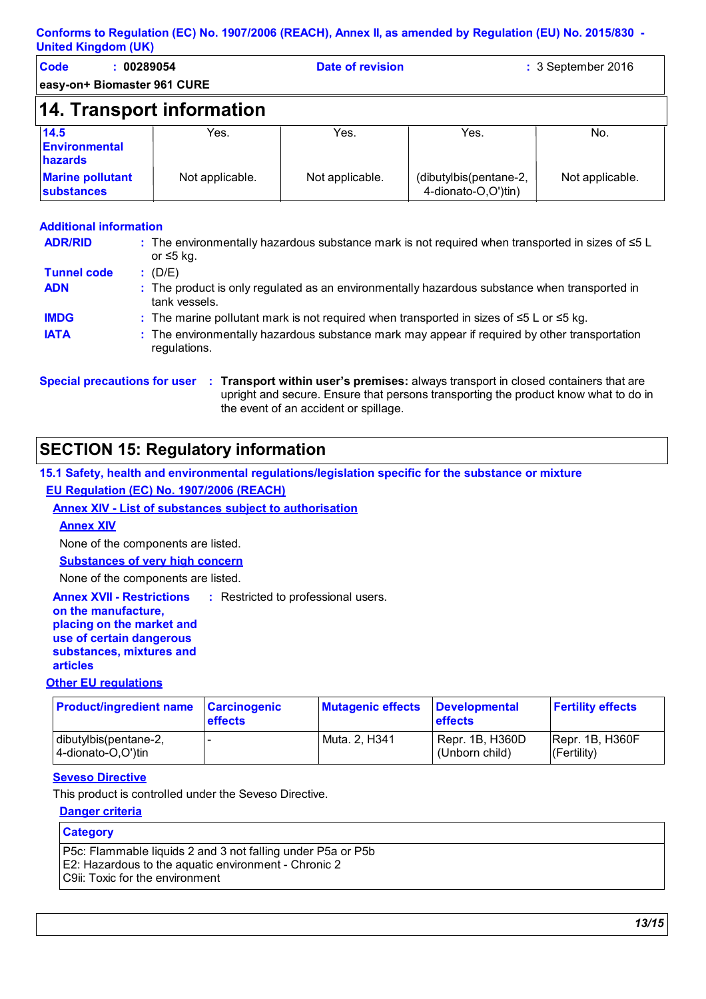| <b>Code</b><br>00289054<br>easy-on+ Biomaster 961 CURE |                 | <b>Date of revision</b> |                                               | : 3 September 2016 |  |
|--------------------------------------------------------|-----------------|-------------------------|-----------------------------------------------|--------------------|--|
|                                                        |                 |                         |                                               |                    |  |
| 14. Transport information                              |                 |                         |                                               |                    |  |
| 14.5<br><b>Environmental</b><br>hazards                | Yes.            | Yes.                    | Yes.                                          | No.                |  |
| <b>Marine pollutant</b><br><b>substances</b>           | Not applicable. | Not applicable.         | (dibutylbis(pentane-2,<br>4-dionato-O,O')tin) | Not applicable.    |  |

#### **Additional information**

| <b>ADR/RID</b>     | : The environmentally hazardous substance mark is not required when transported in sizes of $\leq 5$ L<br>or ≤5 kg. |
|--------------------|---------------------------------------------------------------------------------------------------------------------|
| <b>Tunnel code</b> | (D/E)                                                                                                               |
| <b>ADN</b>         | : The product is only regulated as an environmentally hazardous substance when transported in<br>tank vessels.      |
| <b>IMDG</b>        | : The marine pollutant mark is not required when transported in sizes of $\leq 5$ L or $\leq 5$ kg.                 |
| <b>IATA</b>        | : The environmentally hazardous substance mark may appear if required by other transportation<br>regulations.       |

**Special precautions for user Transport within user's premises:** always transport in closed containers that are **:**

upright and secure. Ensure that persons transporting the product know what to do in

#### the event of an accident or spillage.

### **SECTION 15: Regulatory information**

#### **15.1 Safety, health and environmental regulations/legislation specific for the substance or mixture EU Regulation (EC) No. 1907/2006 (REACH)**

#### **Annex XIV - List of substances subject to authorisation**

#### **Annex XIV**

None of the components are listed.

**Substances of very high concern**

None of the components are listed.

**Annex XVII - Restrictions** : Restricted to professional users.

#### **on the manufacture, placing on the market and use of certain dangerous**

**substances, mixtures and** 

## **articles**

### **Other EU regulations**

| <b>Product/ingredient name Carcinogenic</b> | <b>effects</b> | <b>Mutagenic effects</b> | <b>Developmental</b><br><b>effects</b> | <b>Fertility effects</b>         |
|---------------------------------------------|----------------|--------------------------|----------------------------------------|----------------------------------|
| dibutylbis(pentane-2,<br>4-dionato-O,O')tin |                | Muta. 2, H341            | Repr. 1B, H360D<br>(Unborn child)      | [Repr. 1B, H360F]<br>(Fertility) |

#### **Seveso Directive**

This product is controlled under the Seveso Directive.

#### **Danger criteria**

#### **Category** P5c: Flammable liquids 2 and 3 not falling under P5a or P5b E2: Hazardous to the aquatic environment - Chronic 2 C9ii: Toxic for the environment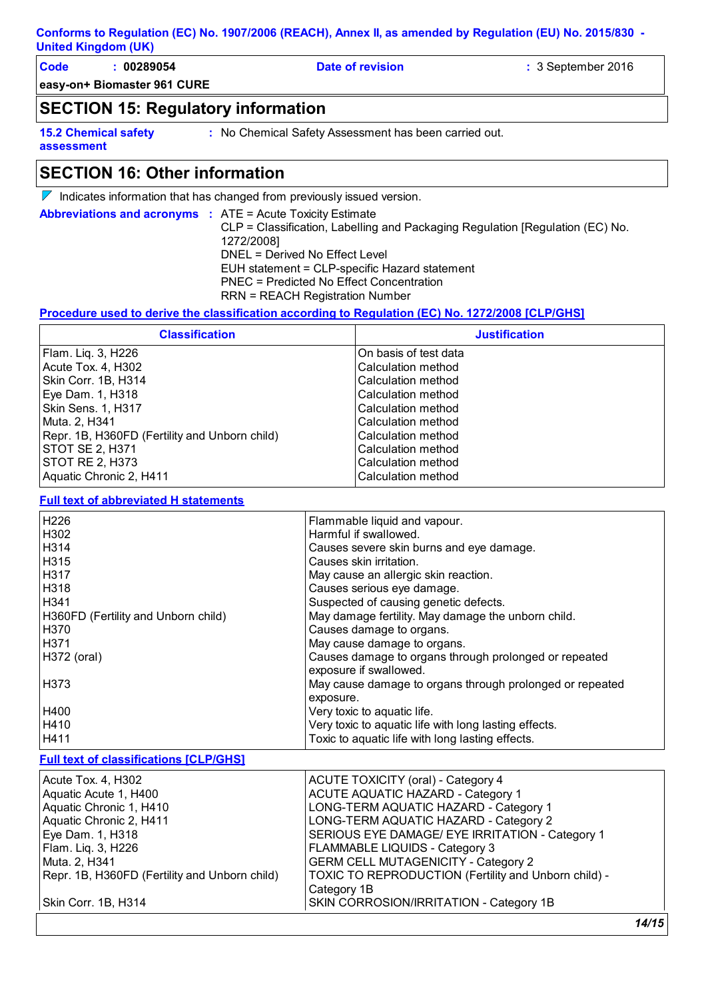| Code | 00289054                    | Date of revision | $\therefore$ 3 September 2016 |
|------|-----------------------------|------------------|-------------------------------|
|      | easy-on+ Biomaster 961 CURE |                  |                               |

### **SECTION 15: Regulatory information**

**15.2 Chemical safety** 

**:** No Chemical Safety Assessment has been carried out.

#### **assessment**

**SECTION 16: Other information**

 $\nabla$  Indicates information that has changed from previously issued version.

**Abbreviations and acronyms :** ATE = Acute Toxicity Estimate CLP = Classification, Labelling and Packaging Regulation [Regulation (EC) No. 1272/2008] DNEL = Derived No Effect Level EUH statement = CLP-specific Hazard statement PNEC = Predicted No Effect Concentration RRN = REACH Registration Number

#### **Procedure used to derive the classification according to Regulation (EC) No. 1272/2008 [CLP/GHS]**

| <b>Classification</b>                         | <b>Justification</b>  |
|-----------------------------------------------|-----------------------|
| Flam. Liq. 3, H226                            | On basis of test data |
| l Acute Tox. 4. H302                          | lCalculation method   |
| Skin Corr. 1B, H314                           | lCalculation method   |
| Eye Dam. 1, H318                              | lCalculation method   |
| Skin Sens. 1, H317                            | lCalculation method   |
| Muta. 2, H341                                 | lCalculation method   |
| Repr. 1B, H360FD (Fertility and Unborn child) | Calculation method    |
| <b>STOT SE 2, H371</b>                        | Calculation method    |
| <b>STOT RE 2, H373</b>                        | lCalculation method   |
| Aquatic Chronic 2, H411                       | Calculation method    |

**Full text of abbreviated H statements**

| H226                                | Flammable liquid and vapour.                             |
|-------------------------------------|----------------------------------------------------------|
| H302                                | Harmful if swallowed.                                    |
| H314                                | Causes severe skin burns and eye damage.                 |
| H315                                | Causes skin irritation.                                  |
| H317                                | May cause an allergic skin reaction.                     |
| H318                                | Causes serious eye damage.                               |
| H341                                | Suspected of causing genetic defects.                    |
| H360FD (Fertility and Unborn child) | May damage fertility. May damage the unborn child.       |
| H370                                | Causes damage to organs.                                 |
| H371                                | May cause damage to organs.                              |
| H372 (oral)                         | Causes damage to organs through prolonged or repeated    |
|                                     | exposure if swallowed.                                   |
| H373                                | May cause damage to organs through prolonged or repeated |
|                                     | exposure.                                                |
| H400                                | Very toxic to aquatic life.                              |
| H410                                | Very toxic to aquatic life with long lasting effects.    |
| H411                                | Toxic to aquatic life with long lasting effects.         |

#### **Full text of classifications [CLP/GHS]**

| Acute Tox. 4, H302                            | ACUTE TOXICITY (oral) - Category 4                   |
|-----------------------------------------------|------------------------------------------------------|
| Aquatic Acute 1, H400                         | ACUTE AQUATIC HAZARD - Category 1                    |
| Aquatic Chronic 1, H410                       | LONG-TERM AQUATIC HAZARD - Category 1                |
| Aquatic Chronic 2, H411                       | LONG-TERM AQUATIC HAZARD - Category 2                |
| Eye Dam. 1, H318                              | SERIOUS EYE DAMAGE/ EYE IRRITATION - Category 1      |
| Flam. Liq. 3, H226                            | FLAMMABLE LIQUIDS - Category 3                       |
| Muta. 2, H341                                 | <b>GERM CELL MUTAGENICITY - Category 2</b>           |
| Repr. 1B, H360FD (Fertility and Unborn child) | TOXIC TO REPRODUCTION (Fertility and Unborn child) - |
|                                               | Category 1B                                          |
| Skin Corr. 1B, H314                           | SKIN CORROSION/IRRITATION - Category 1B              |